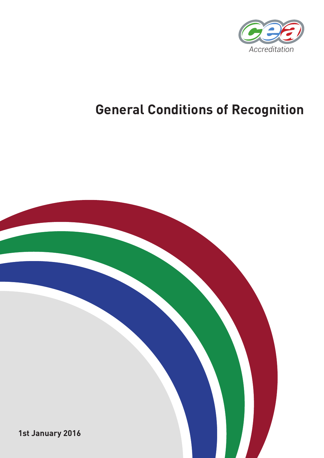

# **General Conditions of Recognition**

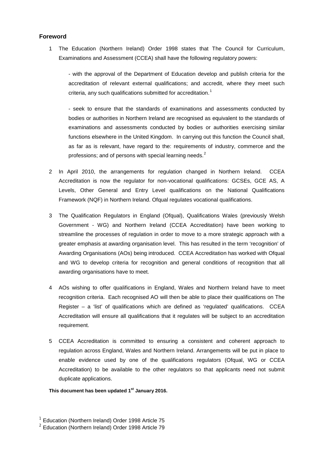#### **Foreword**

1 The Education (Northern Ireland) Order 1998 states that The Council for Curriculum, Examinations and Assessment (CCEA) shall have the following regulatory powers:

- with the approval of the Department of Education develop and publish criteria for the accreditation of relevant external qualifications; and accredit, where they meet such criteria, any such qualifications submitted for accreditation.<sup>[1](#page-2-0)</sup>

- seek to ensure that the standards of examinations and assessments conducted by bodies or authorities in Northern Ireland are recognised as equivalent to the standards of examinations and assessments conducted by bodies or authorities exercising similar functions elsewhere in the United Kingdom. In carrying out this function the Council shall, as far as is relevant, have regard to the: requirements of industry, commerce and the professions; and of persons with special learning needs.<sup>[2](#page-2-1)</sup>

- 2 In April 2010, the arrangements for regulation changed in Northern Ireland. CCEA Accreditation is now the regulator for non-vocational qualifications: GCSEs, GCE AS, A Levels, Other General and Entry Level qualifications on the National Qualifications Framework (NQF) in Northern Ireland. Ofqual regulates vocational qualifications.
- 3 The Qualification Regulators in England (Ofqual), Qualifications Wales (previously Welsh Government - WG) and Northern Ireland (CCEA Accreditation) have been working to streamline the processes of regulation in order to move to a more strategic approach with a greater emphasis at awarding organisation level. This has resulted in the term 'recognition' of Awarding Organisations (AOs) being introduced. CCEA Accreditation has worked with Ofqual and WG to develop criteria for recognition and general conditions of recognition that all awarding organisations have to meet.
- 4 AOs wishing to offer qualifications in England, Wales and Northern Ireland have to meet recognition criteria. Each recognised AO will then be able to place their qualifications on The Register – a 'list' of qualifications which are defined as 'regulated' qualifications. CCEA Accreditation will ensure all qualifications that it regulates will be subject to an accreditation requirement.
- 5 CCEA Accreditation is committed to ensuring a consistent and coherent approach to regulation across England, Wales and Northern Ireland. Arrangements will be put in place to enable evidence used by one of the qualifications regulators (Ofqual, WG or CCEA Accreditation) to be available to the other regulators so that applicants need not submit duplicate applications.

#### **This document has been updated 1st January 2016.**

<span id="page-2-0"></span> $1$  Education (Northern Ireland) Order 1998 Article 75

<span id="page-2-1"></span><sup>2</sup> Education (Northern Ireland) Order 1998 Article 79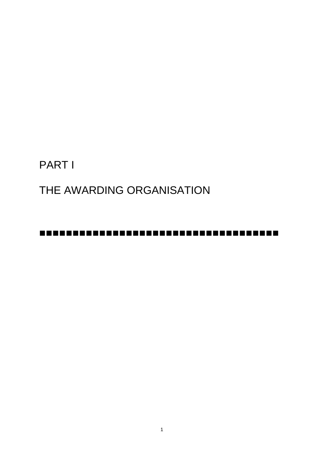PART I

THE AWARDING ORGANISATION

-------------------------------------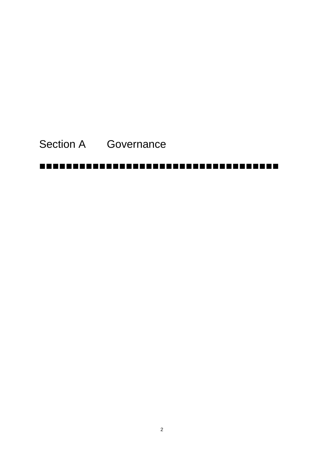# Section A Governance

# -------------------------------------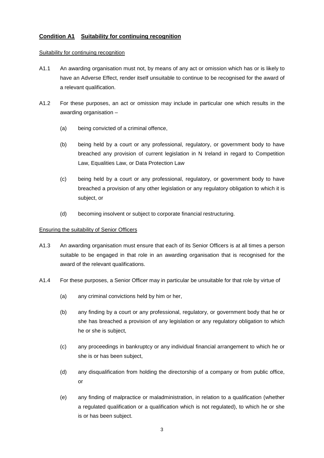# **Condition A1 Suitability for continuing recognition**

#### Suitability for continuing recognition

- A1.1 An awarding organisation must not, by means of any act or omission which has or is likely to have an Adverse Effect, render itself unsuitable to continue to be recognised for the award of a relevant qualification.
- A1.2 For these purposes, an act or omission may include in particular one which results in the awarding organisation –
	- (a) being convicted of a criminal offence,
	- (b) being held by a court or any professional, regulatory, or government body to have breached any provision of current legislation in N Ireland in regard to Competition Law, Equalities Law, or Data Protection Law
	- (c) being held by a court or any professional, regulatory, or government body to have breached a provision of any other legislation or any regulatory obligation to which it is subject, or
	- (d) becoming insolvent or subject to corporate financial restructuring.

#### Ensuring the suitability of Senior Officers

- A1.3 An awarding organisation must ensure that each of its Senior Officers is at all times a person suitable to be engaged in that role in an awarding organisation that is recognised for the award of the relevant qualifications.
- A1.4 For these purposes, a Senior Officer may in particular be unsuitable for that role by virtue of
	- (a) any criminal convictions held by him or her,
	- (b) any finding by a court or any professional, regulatory, or government body that he or she has breached a provision of any legislation or any regulatory obligation to which he or she is subject,
	- (c) any proceedings in bankruptcy or any individual financial arrangement to which he or she is or has been subject,
	- (d) any disqualification from holding the directorship of a company or from public office, or
	- (e) any finding of malpractice or maladministration, in relation to a qualification (whether a regulated qualification or a qualification which is not regulated), to which he or she is or has been subject.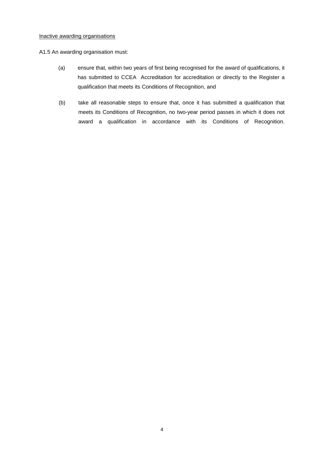#### Inactive awarding organisations

#### A1.5 An awarding organisation must:

- (a) ensure that, within two years of first being recognised for the award of qualifications, it has submitted to CCEA Accreditation for accreditation or directly to the Register a qualification that meets its Conditions of Recognition, and
- (b) take all reasonable steps to ensure that, once it has submitted a qualification that meets its Conditions of Recognition, no two-year period passes in which it does not award a qualification in accordance with its Conditions of Recognition.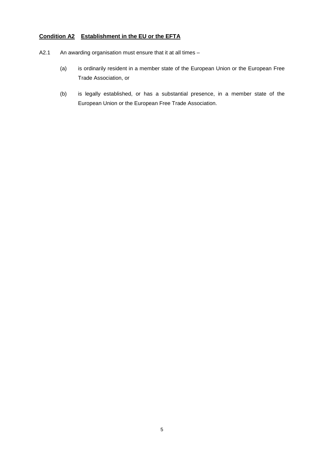# **Condition A2 Establishment in the EU or the EFTA**

- A2.1 An awarding organisation must ensure that it at all times
	- (a) is ordinarily resident in a member state of the European Union or the European Free Trade Association, or
	- (b) is legally established, or has a substantial presence, in a member state of the European Union or the European Free Trade Association.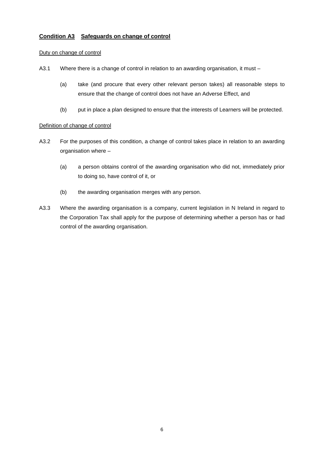# **Condition A3 Safeguards on change of control**

#### Duty on change of control

- A3.1 Where there is a change of control in relation to an awarding organisation, it must -
	- (a) take (and procure that every other relevant person takes) all reasonable steps to ensure that the change of control does not have an Adverse Effect, and
	- (b) put in place a plan designed to ensure that the interests of Learners will be protected.

#### Definition of change of control

- A3.2 For the purposes of this condition, a change of control takes place in relation to an awarding organisation where –
	- (a) a person obtains control of the awarding organisation who did not, immediately prior to doing so, have control of it, or
	- (b) the awarding organisation merges with any person.
- A3.3 Where the awarding organisation is a company, current legislation in N Ireland in regard to the Corporation Tax shall apply for the purpose of determining whether a person has or had control of the awarding organisation.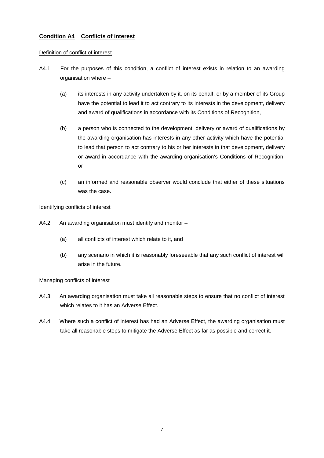# **Condition A4 Conflicts of interest**

#### Definition of conflict of interest

- A4.1 For the purposes of this condition, a conflict of interest exists in relation to an awarding organisation where –
	- (a) its interests in any activity undertaken by it, on its behalf, or by a member of its Group have the potential to lead it to act contrary to its interests in the development, delivery and award of qualifications in accordance with its Conditions of Recognition,
	- (b) a person who is connected to the development, delivery or award of qualifications by the awarding organisation has interests in any other activity which have the potential to lead that person to act contrary to his or her interests in that development, delivery or award in accordance with the awarding organisation's Conditions of Recognition, or
	- (c) an informed and reasonable observer would conclude that either of these situations was the case.

#### Identifying conflicts of interest

- A4.2 An awarding organisation must identify and monitor
	- (a) all conflicts of interest which relate to it, and
	- (b) any scenario in which it is reasonably foreseeable that any such conflict of interest will arise in the future.

#### Managing conflicts of interest

- A4.3 An awarding organisation must take all reasonable steps to ensure that no conflict of interest which relates to it has an Adverse Effect.
- A4.4 Where such a conflict of interest has had an Adverse Effect, the awarding organisation must take all reasonable steps to mitigate the Adverse Effect as far as possible and correct it.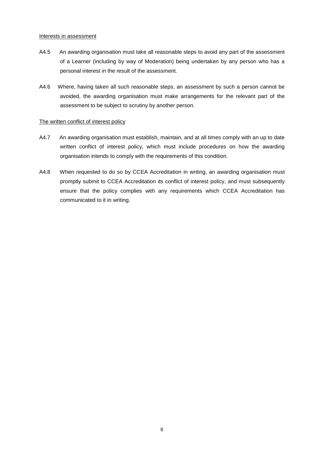#### Interests in assessment

- A4.5 An awarding organisation must take all reasonable steps to avoid any part of the assessment of a Learner (including by way of Moderation) being undertaken by any person who has a personal interest in the result of the assessment.
- A4.6 Where, having taken all such reasonable steps, an assessment by such a person cannot be avoided, the awarding organisation must make arrangements for the relevant part of the assessment to be subject to scrutiny by another person.

#### The written conflict of interest policy

- A4.7 An awarding organisation must establish, maintain, and at all times comply with an up to date written conflict of interest policy, which must include procedures on how the awarding organisation intends to comply with the requirements of this condition.
- A4.8 When requested to do so by CCEA Accreditation in writing, an awarding organisation must promptly submit to CCEA Accreditation its conflict of interest policy, and must subsequently ensure that the policy complies with any requirements which CCEA Accreditation has communicated to it in writing.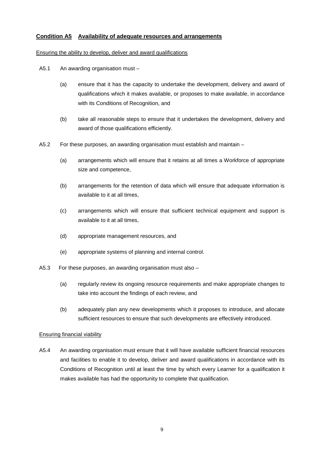### **Condition A5 Availability of adequate resources and arrangements**

#### Ensuring the ability to develop, deliver and award qualifications

- A5.1 An awarding organisation must
	- (a) ensure that it has the capacity to undertake the development, delivery and award of qualifications which it makes available, or proposes to make available, in accordance with its Conditions of Recognition, and
	- (b) take all reasonable steps to ensure that it undertakes the development, delivery and award of those qualifications efficiently.
- A5.2 For these purposes, an awarding organisation must establish and maintain
	- (a) arrangements which will ensure that it retains at all times a Workforce of appropriate size and competence,
	- (b) arrangements for the retention of data which will ensure that adequate information is available to it at all times,
	- (c) arrangements which will ensure that sufficient technical equipment and support is available to it at all times,
	- (d) appropriate management resources, and
	- (e) appropriate systems of planning and internal control.
- A5.3 For these purposes, an awarding organisation must also
	- (a) regularly review its ongoing resource requirements and make appropriate changes to take into account the findings of each review, and
	- (b) adequately plan any new developments which it proposes to introduce, and allocate sufficient resources to ensure that such developments are effectively introduced.

#### Ensuring financial viability

A5.4 An awarding organisation must ensure that it will have available sufficient financial resources and facilities to enable it to develop, deliver and award qualifications in accordance with its Conditions of Recognition until at least the time by which every Learner for a qualification it makes available has had the opportunity to complete that qualification.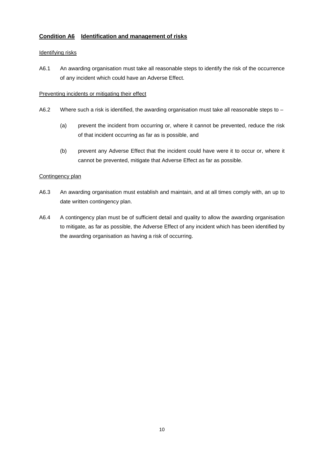# **Condition A6 Identification and management of risks**

### Identifying risks

A6.1 An awarding organisation must take all reasonable steps to identify the risk of the occurrence of any incident which could have an Adverse Effect.

### Preventing incidents or mitigating their effect

- A6.2 Where such a risk is identified, the awarding organisation must take all reasonable steps to -
	- (a) prevent the incident from occurring or, where it cannot be prevented, reduce the risk of that incident occurring as far as is possible, and
	- (b) prevent any Adverse Effect that the incident could have were it to occur or, where it cannot be prevented, mitigate that Adverse Effect as far as possible.

## Contingency plan

- A6.3 An awarding organisation must establish and maintain, and at all times comply with, an up to date written contingency plan.
- A6.4 A contingency plan must be of sufficient detail and quality to allow the awarding organisation to mitigate, as far as possible, the Adverse Effect of any incident which has been identified by the awarding organisation as having a risk of occurring.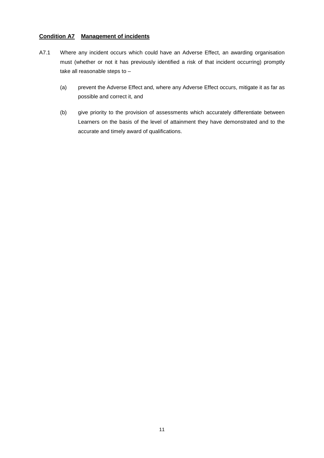## **Condition A7 Management of incidents**

- A7.1 Where any incident occurs which could have an Adverse Effect, an awarding organisation must (whether or not it has previously identified a risk of that incident occurring) promptly take all reasonable steps to –
	- (a) prevent the Adverse Effect and, where any Adverse Effect occurs, mitigate it as far as possible and correct it, and
	- (b) give priority to the provision of assessments which accurately differentiate between Learners on the basis of the level of attainment they have demonstrated and to the accurate and timely award of qualifications.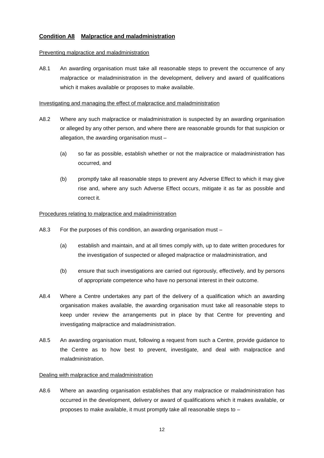# **Condition A8 Malpractice and maladministration**

#### Preventing malpractice and maladministration

A8.1 An awarding organisation must take all reasonable steps to prevent the occurrence of any malpractice or maladministration in the development, delivery and award of qualifications which it makes available or proposes to make available.

#### Investigating and managing the effect of malpractice and maladministration

- A8.2 Where any such malpractice or maladministration is suspected by an awarding organisation or alleged by any other person, and where there are reasonable grounds for that suspicion or allegation, the awarding organisation must –
	- (a) so far as possible, establish whether or not the malpractice or maladministration has occurred, and
	- (b) promptly take all reasonable steps to prevent any Adverse Effect to which it may give rise and, where any such Adverse Effect occurs, mitigate it as far as possible and correct it.

#### Procedures relating to malpractice and maladministration

- A8.3 For the purposes of this condition, an awarding organisation must
	- (a) establish and maintain, and at all times comply with, up to date written procedures for the investigation of suspected or alleged malpractice or maladministration, and
	- (b) ensure that such investigations are carried out rigorously, effectively, and by persons of appropriate competence who have no personal interest in their outcome.
- A8.4 Where a Centre undertakes any part of the delivery of a qualification which an awarding organisation makes available, the awarding organisation must take all reasonable steps to keep under review the arrangements put in place by that Centre for preventing and investigating malpractice and maladministration.
- A8.5 An awarding organisation must, following a request from such a Centre, provide guidance to the Centre as to how best to prevent, investigate, and deal with malpractice and maladministration.

#### Dealing with malpractice and maladministration

A8.6 Where an awarding organisation establishes that any malpractice or maladministration has occurred in the development, delivery or award of qualifications which it makes available, or proposes to make available, it must promptly take all reasonable steps to –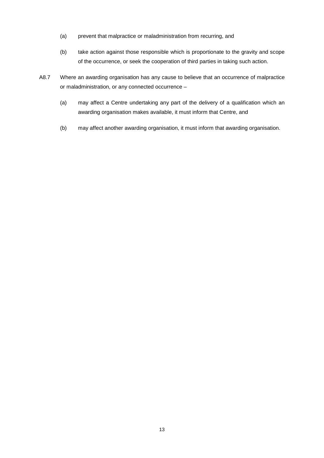- (a) prevent that malpractice or maladministration from recurring, and
- (b) take action against those responsible which is proportionate to the gravity and scope of the occurrence, or seek the cooperation of third parties in taking such action.
- A8.7 Where an awarding organisation has any cause to believe that an occurrence of malpractice or maladministration, or any connected occurrence –
	- (a) may affect a Centre undertaking any part of the delivery of a qualification which an awarding organisation makes available, it must inform that Centre, and
	- (b) may affect another awarding organisation, it must inform that awarding organisation.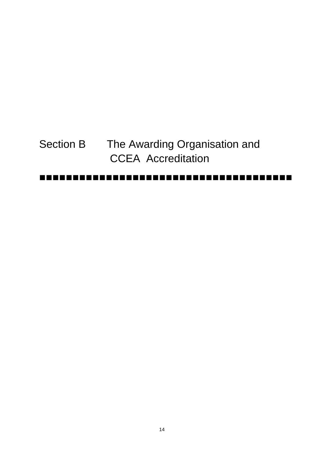# Section B The Awarding Organisation and CCEA Accreditation

#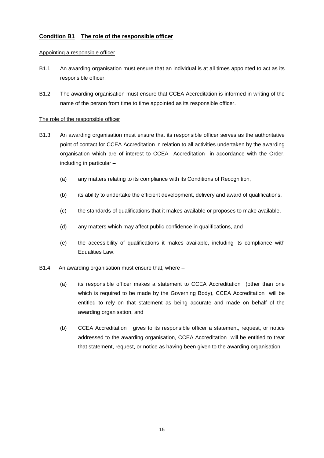# **Condition B1 The role of the responsible officer**

#### Appointing a responsible officer

- B1.1 An awarding organisation must ensure that an individual is at all times appointed to act as its responsible officer.
- B1.2 The awarding organisation must ensure that CCEA Accreditation is informed in writing of the name of the person from time to time appointed as its responsible officer.

#### The role of the responsible officer

- B1.3 An awarding organisation must ensure that its responsible officer serves as the authoritative point of contact for CCEA Accreditation in relation to all activities undertaken by the awarding organisation which are of interest to CCEA Accreditation in accordance with the Order, including in particular –
	- (a) any matters relating to its compliance with its Conditions of Recognition,
	- (b) its ability to undertake the efficient development, delivery and award of qualifications,
	- (c) the standards of qualifications that it makes available or proposes to make available,
	- (d) any matters which may affect public confidence in qualifications, and
	- (e) the accessibility of qualifications it makes available, including its compliance with Equalities Law.
- B1.4 An awarding organisation must ensure that, where
	- (a) its responsible officer makes a statement to CCEA Accreditation (other than one which is required to be made by the Governing Body), CCEA Accreditation will be entitled to rely on that statement as being accurate and made on behalf of the awarding organisation, and
	- (b) CCEA Accreditation gives to its responsible officer a statement, request, or notice addressed to the awarding organisation, CCEA Accreditation will be entitled to treat that statement, request, or notice as having been given to the awarding organisation.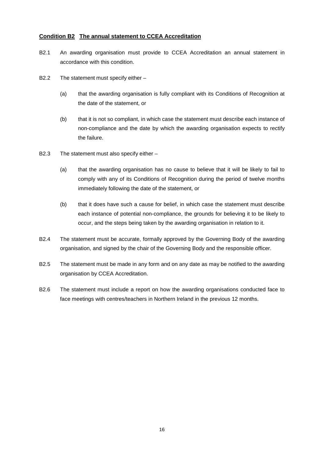#### **Condition B2 The annual statement to CCEA Accreditation**

- B2.1 An awarding organisation must provide to CCEA Accreditation an annual statement in accordance with this condition.
- B2.2 The statement must specify either
	- (a) that the awarding organisation is fully compliant with its Conditions of Recognition at the date of the statement, or
	- (b) that it is not so compliant, in which case the statement must describe each instance of non-compliance and the date by which the awarding organisation expects to rectify the failure.
- B2.3 The statement must also specify either
	- (a) that the awarding organisation has no cause to believe that it will be likely to fail to comply with any of its Conditions of Recognition during the period of twelve months immediately following the date of the statement, or
	- (b) that it does have such a cause for belief, in which case the statement must describe each instance of potential non-compliance, the grounds for believing it to be likely to occur, and the steps being taken by the awarding organisation in relation to it.
- B2.4 The statement must be accurate, formally approved by the Governing Body of the awarding organisation, and signed by the chair of the Governing Body and the responsible officer.
- B2.5 The statement must be made in any form and on any date as may be notified to the awarding organisation by CCEA Accreditation.
- B2.6 The statement must include a report on how the awarding organisations conducted face to face meetings with centres/teachers in Northern Ireland in the previous 12 months.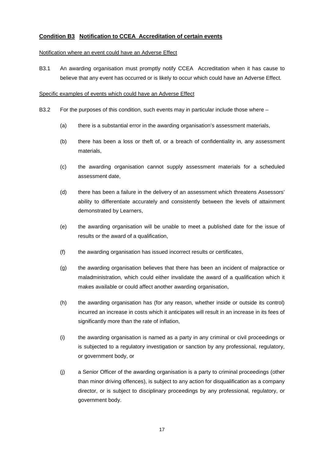# **Condition B3 Notification to CCEA Accreditation of certain events**

#### Notification where an event could have an Adverse Effect

B3.1 An awarding organisation must promptly notify CCEA Accreditation when it has cause to believe that any event has occurred or is likely to occur which could have an Adverse Effect.

#### Specific examples of events which could have an Adverse Effect

- B3.2 For the purposes of this condition, such events may in particular include those where
	- (a) there is a substantial error in the awarding organisation's assessment materials,
	- (b) there has been a loss or theft of, or a breach of confidentiality in, any assessment materials,
	- (c) the awarding organisation cannot supply assessment materials for a scheduled assessment date,
	- (d) there has been a failure in the delivery of an assessment which threatens Assessors' ability to differentiate accurately and consistently between the levels of attainment demonstrated by Learners,
	- (e) the awarding organisation will be unable to meet a published date for the issue of results or the award of a qualification,
	- (f) the awarding organisation has issued incorrect results or certificates,
	- (g) the awarding organisation believes that there has been an incident of malpractice or maladministration, which could either invalidate the award of a qualification which it makes available or could affect another awarding organisation,
	- (h) the awarding organisation has (for any reason, whether inside or outside its control) incurred an increase in costs which it anticipates will result in an increase in its fees of significantly more than the rate of inflation,
	- (i) the awarding organisation is named as a party in any criminal or civil proceedings or is subjected to a regulatory investigation or sanction by any professional, regulatory, or government body, or
	- (j) a Senior Officer of the awarding organisation is a party to criminal proceedings (other than minor driving offences), is subject to any action for disqualification as a company director, or is subject to disciplinary proceedings by any professional, regulatory, or government body.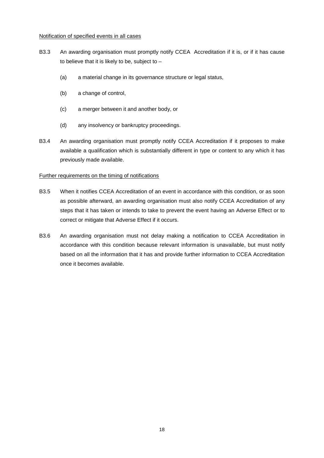#### Notification of specified events in all cases

- B3.3 An awarding organisation must promptly notify CCEA Accreditation if it is, or if it has cause to believe that it is likely to be, subject to  $-$ 
	- (a) a material change in its governance structure or legal status,
	- (b) a change of control,
	- (c) a merger between it and another body, or
	- (d) any insolvency or bankruptcy proceedings.
- B3.4 An awarding organisation must promptly notify CCEA Accreditation if it proposes to make available a qualification which is substantially different in type or content to any which it has previously made available.

## Further requirements on the timing of notifications

- B3.5 When it notifies CCEA Accreditation of an event in accordance with this condition, or as soon as possible afterward, an awarding organisation must also notify CCEA Accreditation of any steps that it has taken or intends to take to prevent the event having an Adverse Effect or to correct or mitigate that Adverse Effect if it occurs.
- B3.6 An awarding organisation must not delay making a notification to CCEA Accreditation in accordance with this condition because relevant information is unavailable, but must notify based on all the information that it has and provide further information to CCEA Accreditation once it becomes available.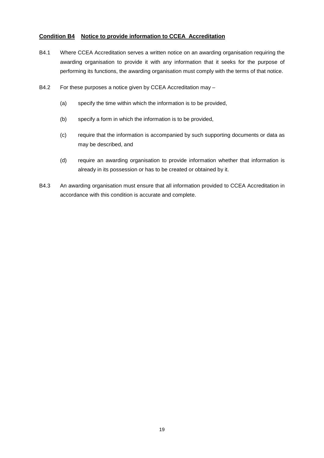### **Condition B4 Notice to provide information to CCEA Accreditation**

- B4.1 Where CCEA Accreditation serves a written notice on an awarding organisation requiring the awarding organisation to provide it with any information that it seeks for the purpose of performing its functions, the awarding organisation must comply with the terms of that notice.
- B4.2 For these purposes a notice given by CCEA Accreditation may
	- (a) specify the time within which the information is to be provided,
	- (b) specify a form in which the information is to be provided,
	- (c) require that the information is accompanied by such supporting documents or data as may be described, and
	- (d) require an awarding organisation to provide information whether that information is already in its possession or has to be created or obtained by it.
- B4.3 An awarding organisation must ensure that all information provided to CCEA Accreditation in accordance with this condition is accurate and complete.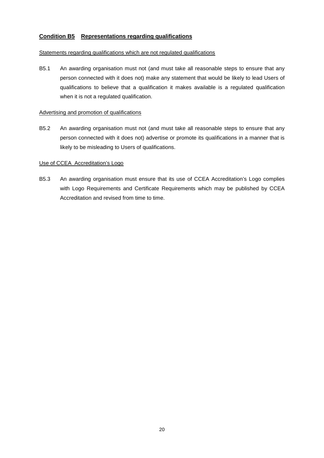### **Condition B5 Representations regarding qualifications**

#### Statements regarding qualifications which are not regulated qualifications

B5.1 An awarding organisation must not (and must take all reasonable steps to ensure that any person connected with it does not) make any statement that would be likely to lead Users of qualifications to believe that a qualification it makes available is a regulated qualification when it is not a regulated qualification.

#### Advertising and promotion of qualifications

B5.2 An awarding organisation must not (and must take all reasonable steps to ensure that any person connected with it does not) advertise or promote its qualifications in a manner that is likely to be misleading to Users of qualifications.

#### Use of CCEA Accreditation's Logo

B5.3 An awarding organisation must ensure that its use of CCEA Accreditation's Logo complies with Logo Requirements and Certificate Requirements which may be published by CCEA Accreditation and revised from time to time.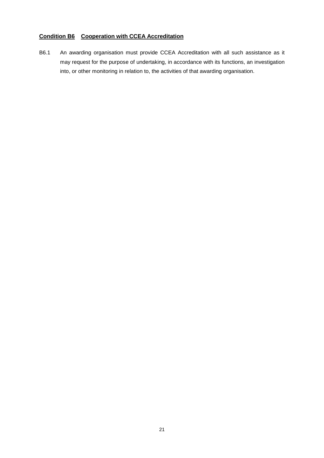# **Condition B6 Cooperation with CCEA Accreditation**

B6.1 An awarding organisation must provide CCEA Accreditation with all such assistance as it may request for the purpose of undertaking, in accordance with its functions, an investigation into, or other monitoring in relation to, the activities of that awarding organisation.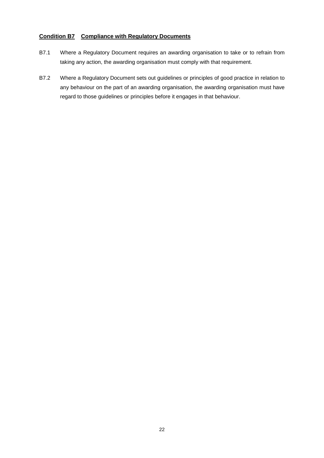### **Condition B7 Compliance with Regulatory Documents**

- B7.1 Where a Regulatory Document requires an awarding organisation to take or to refrain from taking any action, the awarding organisation must comply with that requirement.
- B7.2 Where a Regulatory Document sets out guidelines or principles of good practice in relation to any behaviour on the part of an awarding organisation, the awarding organisation must have regard to those guidelines or principles before it engages in that behaviour.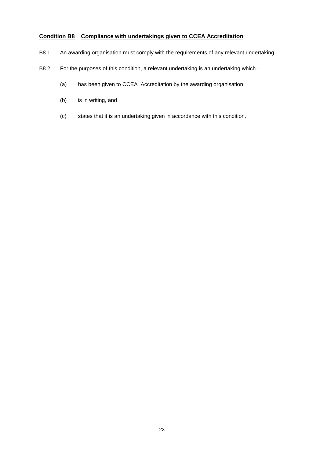# **Condition B8 Compliance with undertakings given to CCEA Accreditation**

- B8.1 An awarding organisation must comply with the requirements of any relevant undertaking.
- B8.2 For the purposes of this condition, a relevant undertaking is an undertaking which
	- (a) has been given to CCEA Accreditation by the awarding organisation,
	- (b) is in writing, and
	- (c) states that it is an undertaking given in accordance with this condition.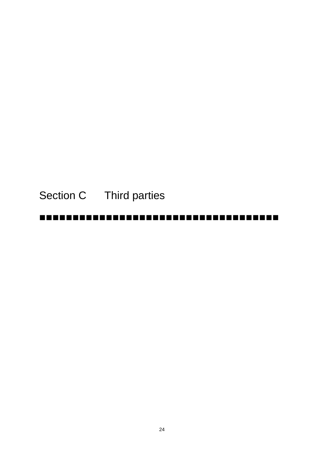# Section C Third parties

#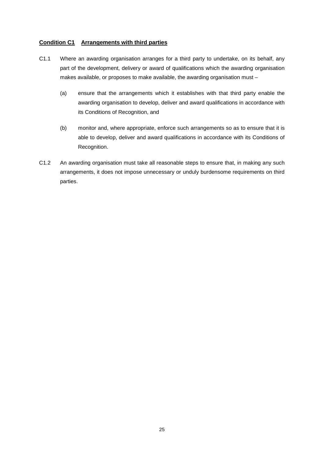## **Condition C1 Arrangements with third parties**

- C1.1 Where an awarding organisation arranges for a third party to undertake, on its behalf, any part of the development, delivery or award of qualifications which the awarding organisation makes available, or proposes to make available, the awarding organisation must –
	- (a) ensure that the arrangements which it establishes with that third party enable the awarding organisation to develop, deliver and award qualifications in accordance with its Conditions of Recognition, and
	- (b) monitor and, where appropriate, enforce such arrangements so as to ensure that it is able to develop, deliver and award qualifications in accordance with its Conditions of Recognition.
- C1.2 An awarding organisation must take all reasonable steps to ensure that, in making any such arrangements, it does not impose unnecessary or unduly burdensome requirements on third parties.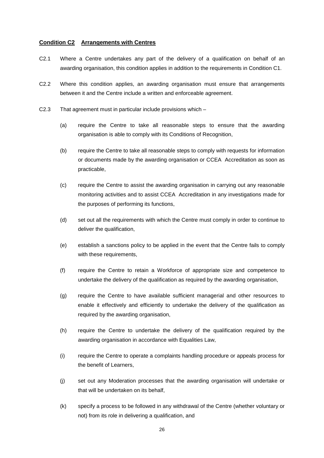#### **Condition C2 Arrangements with Centres**

- C2.1 Where a Centre undertakes any part of the delivery of a qualification on behalf of an awarding organisation, this condition applies in addition to the requirements in Condition C1.
- C2.2 Where this condition applies, an awarding organisation must ensure that arrangements between it and the Centre include a written and enforceable agreement.
- C2.3 That agreement must in particular include provisions which
	- (a) require the Centre to take all reasonable steps to ensure that the awarding organisation is able to comply with its Conditions of Recognition,
	- (b) require the Centre to take all reasonable steps to comply with requests for information or documents made by the awarding organisation or CCEA Accreditation as soon as practicable,
	- (c) require the Centre to assist the awarding organisation in carrying out any reasonable monitoring activities and to assist CCEA Accreditation in any investigations made for the purposes of performing its functions,
	- (d) set out all the requirements with which the Centre must comply in order to continue to deliver the qualification,
	- (e) establish a sanctions policy to be applied in the event that the Centre fails to comply with these requirements,
	- (f) require the Centre to retain a Workforce of appropriate size and competence to undertake the delivery of the qualification as required by the awarding organisation,
	- (g) require the Centre to have available sufficient managerial and other resources to enable it effectively and efficiently to undertake the delivery of the qualification as required by the awarding organisation,
	- (h) require the Centre to undertake the delivery of the qualification required by the awarding organisation in accordance with Equalities Law,
	- (i) require the Centre to operate a complaints handling procedure or appeals process for the benefit of Learners,
	- (j) set out any Moderation processes that the awarding organisation will undertake or that will be undertaken on its behalf,
	- (k) specify a process to be followed in any withdrawal of the Centre (whether voluntary or not) from its role in delivering a qualification, and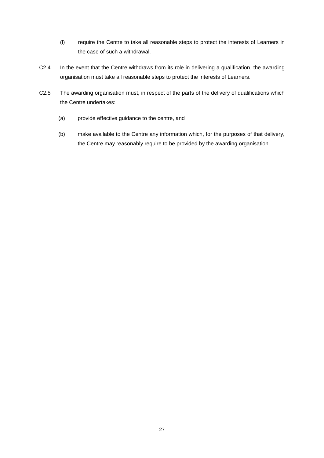- (l) require the Centre to take all reasonable steps to protect the interests of Learners in the case of such a withdrawal.
- C2.4 In the event that the Centre withdraws from its role in delivering a qualification, the awarding organisation must take all reasonable steps to protect the interests of Learners.
- C2.5 The awarding organisation must, in respect of the parts of the delivery of qualifications which the Centre undertakes:
	- (a) provide effective guidance to the centre, and
	- (b) make available to the Centre any information which, for the purposes of that delivery, the Centre may reasonably require to be provided by the awarding organisation.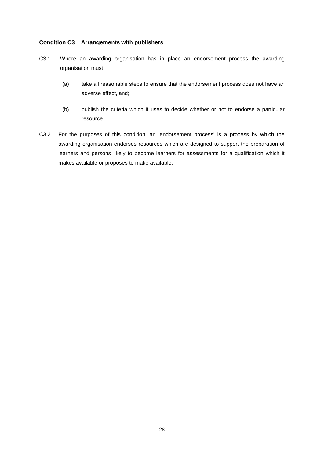### **Condition C3 Arrangements with publishers**

- C3.1 Where an awarding organisation has in place an endorsement process the awarding organisation must:
	- (a) take all reasonable steps to ensure that the endorsement process does not have an adverse effect, and;
	- (b) publish the criteria which it uses to decide whether or not to endorse a particular resource.
- C3.2 For the purposes of this condition, an 'endorsement process' is a process by which the awarding organisation endorses resources which are designed to support the preparation of learners and persons likely to become learners for assessments for a qualification which it makes available or proposes to make available.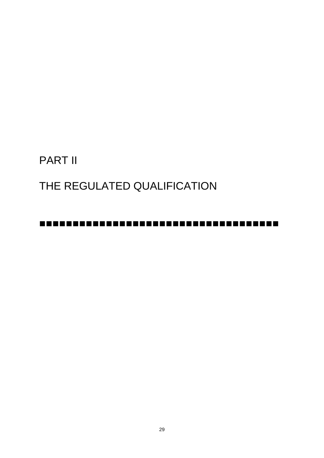# PART II

# THE REGULATED QUALIFICATION

# -------------------------------------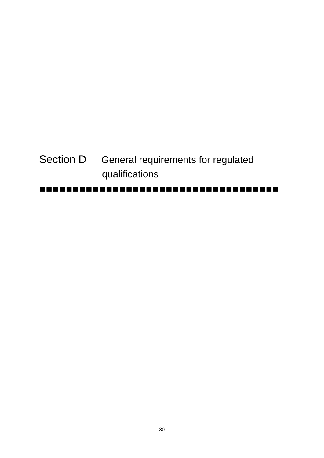# Section D General requirements for regulated qualifications

# -------------------------------------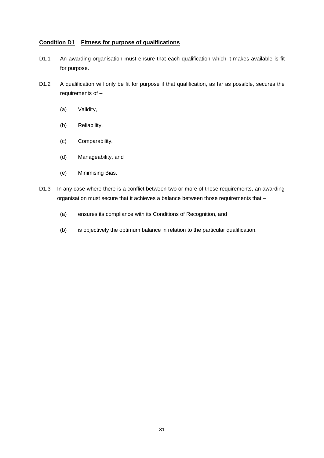## **Condition D1 Fitness for purpose of qualifications**

- D1.1 An awarding organisation must ensure that each qualification which it makes available is fit for purpose.
- D1.2 A qualification will only be fit for purpose if that qualification, as far as possible, secures the requirements of –
	- (a) Validity,
	- (b) Reliability,
	- (c) Comparability,
	- (d) Manageability, and
	- (e) Minimising Bias.
- D1.3 In any case where there is a conflict between two or more of these requirements, an awarding organisation must secure that it achieves a balance between those requirements that –
	- (a) ensures its compliance with its Conditions of Recognition, and
	- (b) is objectively the optimum balance in relation to the particular qualification.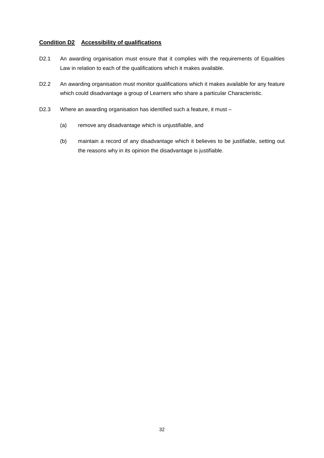# **Condition D2 Accessibility of qualifications**

- D2.1 An awarding organisation must ensure that it complies with the requirements of Equalities Law in relation to each of the qualifications which it makes available.
- D2.2 An awarding organisation must monitor qualifications which it makes available for any feature which could disadvantage a group of Learners who share a particular Characteristic.
- D2.3 Where an awarding organisation has identified such a feature, it must
	- (a) remove any disadvantage which is unjustifiable, and
	- (b) maintain a record of any disadvantage which it believes to be justifiable, setting out the reasons why in its opinion the disadvantage is justifiable.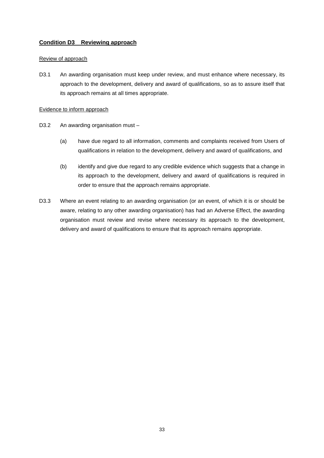# **Condition D3 Reviewing approach**

### Review of approach

D3.1 An awarding organisation must keep under review, and must enhance where necessary, its approach to the development, delivery and award of qualifications, so as to assure itself that its approach remains at all times appropriate.

#### Evidence to inform approach

- D3.2 An awarding organisation must
	- (a) have due regard to all information, comments and complaints received from Users of qualifications in relation to the development, delivery and award of qualifications, and
	- (b) identify and give due regard to any credible evidence which suggests that a change in its approach to the development, delivery and award of qualifications is required in order to ensure that the approach remains appropriate.
- D3.3 Where an event relating to an awarding organisation (or an event, of which it is or should be aware, relating to any other awarding organisation) has had an Adverse Effect, the awarding organisation must review and revise where necessary its approach to the development, delivery and award of qualifications to ensure that its approach remains appropriate.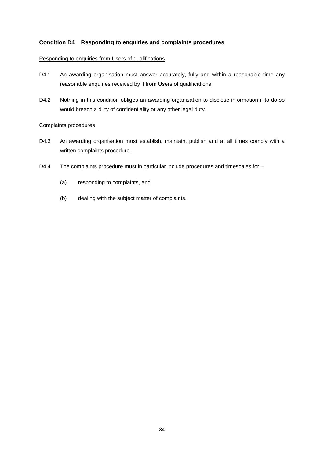# **Condition D4 Responding to enquiries and complaints procedures**

## Responding to enquiries from Users of qualifications

- D4.1 An awarding organisation must answer accurately, fully and within a reasonable time any reasonable enquiries received by it from Users of qualifications.
- D4.2 Nothing in this condition obliges an awarding organisation to disclose information if to do so would breach a duty of confidentiality or any other legal duty.

#### Complaints procedures

- D4.3 An awarding organisation must establish, maintain, publish and at all times comply with a written complaints procedure.
- D4.4 The complaints procedure must in particular include procedures and timescales for -
	- (a) responding to complaints, and
	- (b) dealing with the subject matter of complaints.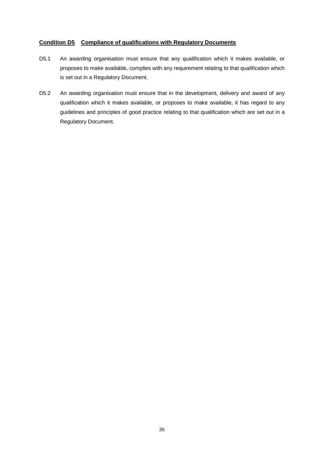# **Condition D5 Compliance of qualifications with Regulatory Documents**

- D5.1 An awarding organisation must ensure that any qualification which it makes available, or proposes to make available, complies with any requirement relating to that qualification which is set out in a Regulatory Document.
- D5.2 An awarding organisation must ensure that in the development, delivery and award of any qualification which it makes available, or proposes to make available, it has regard to any guidelines and principles of good practice relating to that qualification which are set out in a Regulatory Document.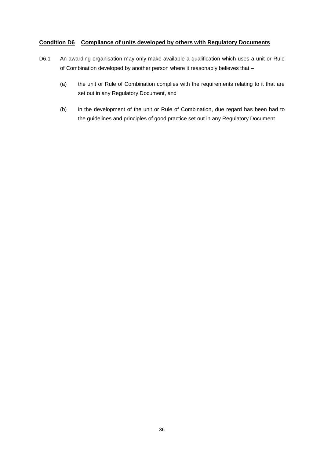# **Condition D6 Compliance of units developed by others with Regulatory Documents**

- D6.1 An awarding organisation may only make available a qualification which uses a unit or Rule of Combination developed by another person where it reasonably believes that –
	- (a) the unit or Rule of Combination complies with the requirements relating to it that are set out in any Regulatory Document, and
	- (b) in the development of the unit or Rule of Combination, due regard has been had to the guidelines and principles of good practice set out in any Regulatory Document.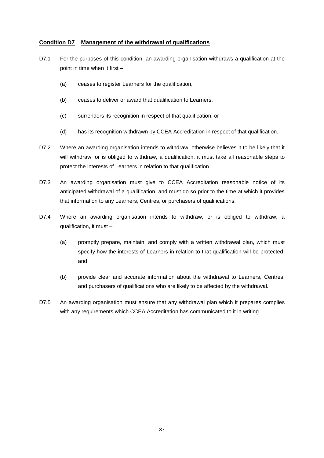# **Condition D7 Management of the withdrawal of qualifications**

- D7.1 For the purposes of this condition, an awarding organisation withdraws a qualification at the point in time when it first –
	- (a) ceases to register Learners for the qualification,
	- (b) ceases to deliver or award that qualification to Learners,
	- (c) surrenders its recognition in respect of that qualification, or
	- (d) has its recognition withdrawn by CCEA Accreditation in respect of that qualification.
- D7.2 Where an awarding organisation intends to withdraw, otherwise believes it to be likely that it will withdraw, or is obliged to withdraw, a qualification, it must take all reasonable steps to protect the interests of Learners in relation to that qualification.
- D7.3 An awarding organisation must give to CCEA Accreditation reasonable notice of its anticipated withdrawal of a qualification, and must do so prior to the time at which it provides that information to any Learners, Centres, or purchasers of qualifications.
- D7.4 Where an awarding organisation intends to withdraw, or is obliged to withdraw, a qualification, it must –
	- (a) promptly prepare, maintain, and comply with a written withdrawal plan, which must specify how the interests of Learners in relation to that qualification will be protected, and
	- (b) provide clear and accurate information about the withdrawal to Learners, Centres, and purchasers of qualifications who are likely to be affected by the withdrawal.
- D7.5 An awarding organisation must ensure that any withdrawal plan which it prepares complies with any requirements which CCEA Accreditation has communicated to it in writing.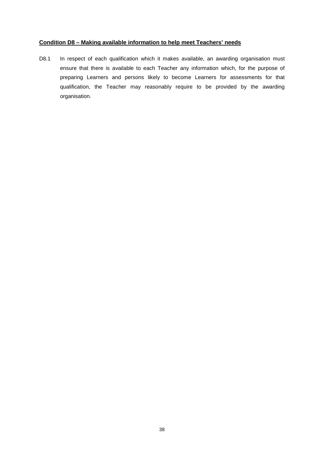# **Condition D8 – Making available information to help meet Teachers' needs**

D8.1 In respect of each qualification which it makes available, an awarding organisation must ensure that there is available to each Teacher any information which, for the purpose of preparing Learners and persons likely to become Learners for assessments for that qualification, the Teacher may reasonably require to be provided by the awarding organisation.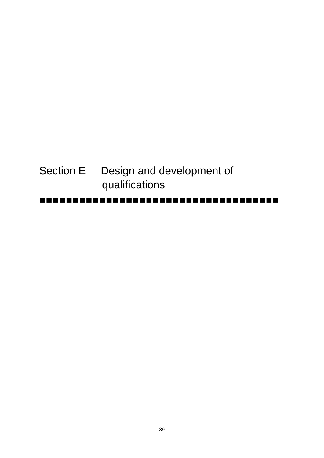| I | ----------------------------------- |
|---|-------------------------------------|
|   | qualifications                      |
|   | Section E Design and development of |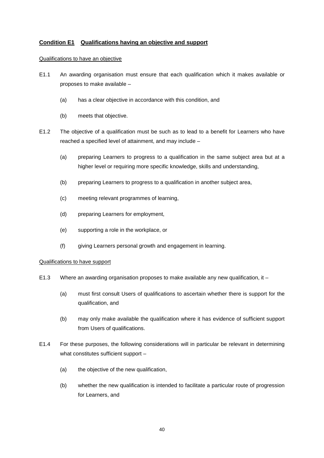# **Condition E1 Qualifications having an objective and support**

#### Qualifications to have an objective

- E1.1 An awarding organisation must ensure that each qualification which it makes available or proposes to make available –
	- (a) has a clear objective in accordance with this condition, and
	- (b) meets that objective.
- E1.2 The objective of a qualification must be such as to lead to a benefit for Learners who have reached a specified level of attainment, and may include –
	- (a) preparing Learners to progress to a qualification in the same subject area but at a higher level or requiring more specific knowledge, skills and understanding,
	- (b) preparing Learners to progress to a qualification in another subject area,
	- (c) meeting relevant programmes of learning,
	- (d) preparing Learners for employment,
	- (e) supporting a role in the workplace, or
	- (f) giving Learners personal growth and engagement in learning.

# Qualifications to have support

- E1.3 Where an awarding organisation proposes to make available any new qualification, it
	- (a) must first consult Users of qualifications to ascertain whether there is support for the qualification, and
	- (b) may only make available the qualification where it has evidence of sufficient support from Users of qualifications.
- E1.4 For these purposes, the following considerations will in particular be relevant in determining what constitutes sufficient support -
	- (a) the objective of the new qualification,
	- (b) whether the new qualification is intended to facilitate a particular route of progression for Learners, and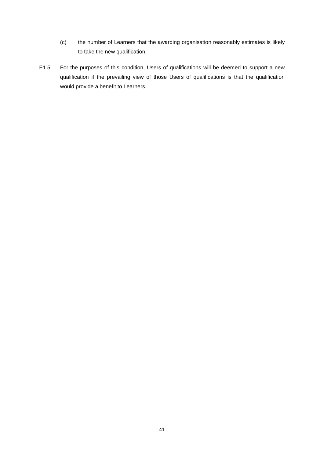- (c) the number of Learners that the awarding organisation reasonably estimates is likely to take the new qualification.
- E1.5 For the purposes of this condition, Users of qualifications will be deemed to support a new qualification if the prevailing view of those Users of qualifications is that the qualification would provide a benefit to Learners.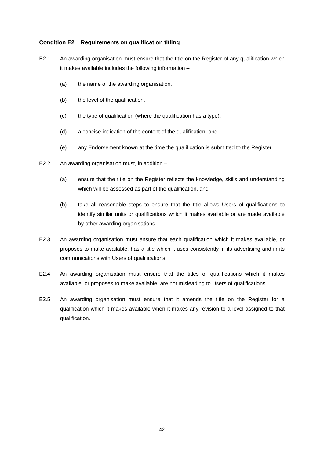# **Condition E2 Requirements on qualification titling**

- E2.1 An awarding organisation must ensure that the title on the Register of any qualification which it makes available includes the following information –
	- (a) the name of the awarding organisation,
	- (b) the level of the qualification,
	- (c) the type of qualification (where the qualification has a type),
	- (d) a concise indication of the content of the qualification, and
	- (e) any Endorsement known at the time the qualification is submitted to the Register.
- E2.2 An awarding organisation must, in addition
	- (a) ensure that the title on the Register reflects the knowledge, skills and understanding which will be assessed as part of the qualification, and
	- (b) take all reasonable steps to ensure that the title allows Users of qualifications to identify similar units or qualifications which it makes available or are made available by other awarding organisations.
- E2.3 An awarding organisation must ensure that each qualification which it makes available, or proposes to make available, has a title which it uses consistently in its advertising and in its communications with Users of qualifications.
- E2.4 An awarding organisation must ensure that the titles of qualifications which it makes available, or proposes to make available, are not misleading to Users of qualifications.
- E2.5 An awarding organisation must ensure that it amends the title on the Register for a qualification which it makes available when it makes any revision to a level assigned to that qualification.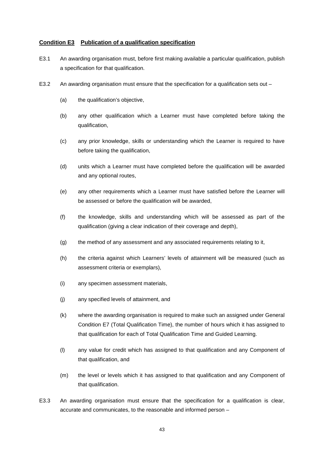# **Condition E3 Publication of a qualification specification**

- E3.1 An awarding organisation must, before first making available a particular qualification, publish a specification for that qualification.
- E3.2 An awarding organisation must ensure that the specification for a qualification sets out
	- (a) the qualification's objective,
	- (b) any other qualification which a Learner must have completed before taking the qualification,
	- (c) any prior knowledge, skills or understanding which the Learner is required to have before taking the qualification,
	- (d) units which a Learner must have completed before the qualification will be awarded and any optional routes,
	- (e) any other requirements which a Learner must have satisfied before the Learner will be assessed or before the qualification will be awarded,
	- (f) the knowledge, skills and understanding which will be assessed as part of the qualification (giving a clear indication of their coverage and depth),
	- (g) the method of any assessment and any associated requirements relating to it,
	- (h) the criteria against which Learners' levels of attainment will be measured (such as assessment criteria or exemplars),
	- (i) any specimen assessment materials,
	- (j) any specified levels of attainment, and
	- (k) where the awarding organisation is required to make such an assigned under General Condition E7 (Total Qualification Time), the number of hours which it has assigned to that qualification for each of Total Qualification Time and Guided Learning.
	- (l) any value for credit which has assigned to that qualification and any Component of that qualification, and
	- (m) the level or levels which it has assigned to that qualification and any Component of that qualification.
- E3.3 An awarding organisation must ensure that the specification for a qualification is clear, accurate and communicates, to the reasonable and informed person –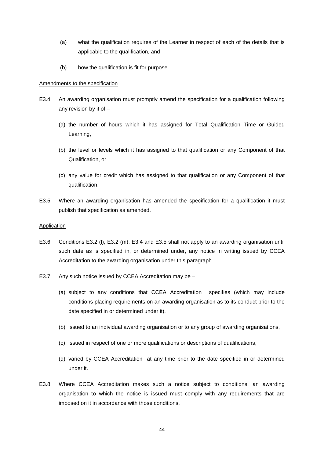- (a) what the qualification requires of the Learner in respect of each of the details that is applicable to the qualification, and
- (b) how the qualification is fit for purpose.

#### Amendments to the specification

- E3.4 An awarding organisation must promptly amend the specification for a qualification following any revision by it of –
	- (a) the number of hours which it has assigned for Total Qualification Time or Guided Learning,
	- (b) the level or levels which it has assigned to that qualification or any Component of that Qualification, or
	- (c) any value for credit which has assigned to that qualification or any Component of that qualification.
- E3.5 Where an awarding organisation has amended the specification for a qualification it must publish that specification as amended.

#### **Application**

- E3.6 Conditions E3.2 (l), E3.2 (m), E3.4 and E3.5 shall not apply to an awarding organisation until such date as is specified in, or determined under, any notice in writing issued by CCEA Accreditation to the awarding organisation under this paragraph.
- E3.7 Any such notice issued by CCEA Accreditation may be
	- (a) subject to any conditions that CCEA Accreditation specifies (which may include conditions placing requirements on an awarding organisation as to its conduct prior to the date specified in or determined under it).
	- (b) issued to an individual awarding organisation or to any group of awarding organisations,
	- (c) issued in respect of one or more qualifications or descriptions of qualifications,
	- (d) varied by CCEA Accreditation at any time prior to the date specified in or determined under it.
- E3.8 Where CCEA Accreditation makes such a notice subject to conditions, an awarding organisation to which the notice is issued must comply with any requirements that are imposed on it in accordance with those conditions.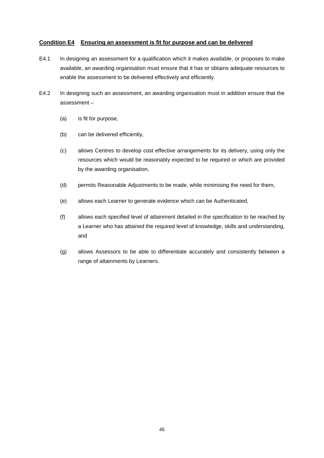# **Condition E4 Ensuring an assessment is fit for purpose and can be delivered**

- E4.1 In designing an assessment for a qualification which it makes available, or proposes to make available, an awarding organisation must ensure that it has or obtains adequate resources to enable the assessment to be delivered effectively and efficiently.
- E4.2 In designing such an assessment, an awarding organisation must in addition ensure that the assessment –
	- (a) is fit for purpose,
	- (b) can be delivered efficiently,
	- (c) allows Centres to develop cost effective arrangements for its delivery, using only the resources which would be reasonably expected to be required or which are provided by the awarding organisation,
	- (d) permits Reasonable Adjustments to be made, while minimising the need for them,
	- (e) allows each Learner to generate evidence which can be Authenticated,
	- (f) allows each specified level of attainment detailed in the specification to be reached by a Learner who has attained the required level of knowledge, skills and understanding, and
	- (g) allows Assessors to be able to differentiate accurately and consistently between a range of attainments by Learners.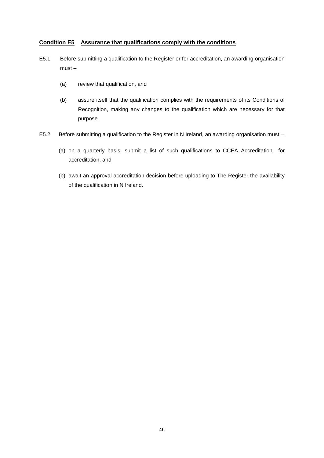# **Condition E5 Assurance that qualifications comply with the conditions**

- E5.1 Before submitting a qualification to the Register or for accreditation, an awarding organisation must –
	- (a) review that qualification, and
	- (b) assure itself that the qualification complies with the requirements of its Conditions of Recognition, making any changes to the qualification which are necessary for that purpose.
- E5.2 Before submitting a qualification to the Register in N Ireland, an awarding organisation must
	- (a) on a quarterly basis, submit a list of such qualifications to CCEA Accreditation for accreditation, and
	- (b) await an approval accreditation decision before uploading to The Register the availability of the qualification in N Ireland.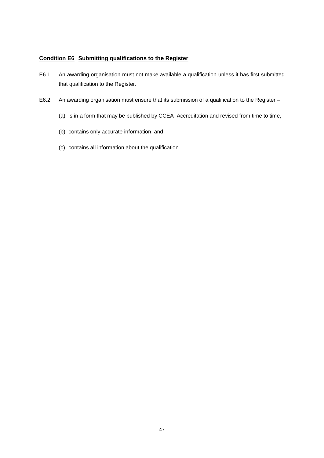# **Condition E6 Submitting qualifications to the Register**

- E6.1 An awarding organisation must not make available a qualification unless it has first submitted that qualification to the Register.
- E6.2 An awarding organisation must ensure that its submission of a qualification to the Register
	- (a) is in a form that may be published by CCEA Accreditation and revised from time to time,
	- (b) contains only accurate information, and
	- (c) contains all information about the qualification.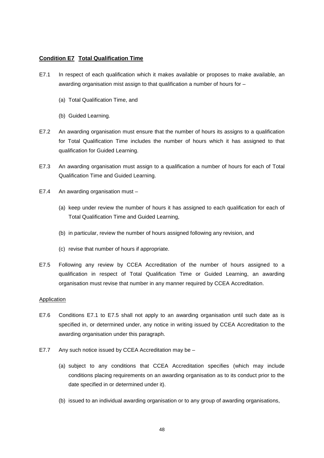# **Condition E7 Total Qualification Time**

- E7.1 In respect of each qualification which it makes available or proposes to make available, an awarding organisation mist assign to that qualification a number of hours for –
	- (a) Total Qualification Time, and
	- (b) Guided Learning.
- E7.2 An awarding organisation must ensure that the number of hours its assigns to a qualification for Total Qualification Time includes the number of hours which it has assigned to that qualification for Guided Learning.
- E7.3 An awarding organisation must assign to a qualification a number of hours for each of Total Qualification Time and Guided Learning.
- E7.4 An awarding organisation must
	- (a) keep under review the number of hours it has assigned to each qualification for each of Total Qualification Time and Guided Learning,
	- (b) in particular, review the number of hours assigned following any revision, and
	- (c) revise that number of hours if appropriate.
- E7.5 Following any review by CCEA Accreditation of the number of hours assigned to a qualification in respect of Total Qualification Time or Guided Learning, an awarding organisation must revise that number in any manner required by CCEA Accreditation.

#### **Application**

- E7.6 Conditions E7.1 to E7.5 shall not apply to an awarding organisation until such date as is specified in, or determined under, any notice in writing issued by CCEA Accreditation to the awarding organisation under this paragraph.
- E7.7 Any such notice issued by CCEA Accreditation may be
	- (a) subject to any conditions that CCEA Accreditation specifies (which may include conditions placing requirements on an awarding organisation as to its conduct prior to the date specified in or determined under it).
	- (b) issued to an individual awarding organisation or to any group of awarding organisations,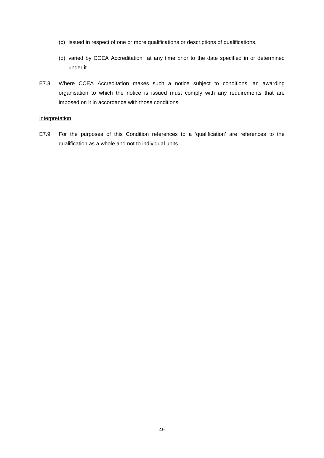- (c) issued in respect of one or more qualifications or descriptions of qualifications,
- (d) varied by CCEA Accreditation at any time prior to the date specified in or determined under it.
- E7.8 Where CCEA Accreditation makes such a notice subject to conditions, an awarding organisation to which the notice is issued must comply with any requirements that are imposed on it in accordance with those conditions.

#### **Interpretation**

E7.9 For the purposes of this Condition references to a 'qualification' are references to the qualification as a whole and not to individual units.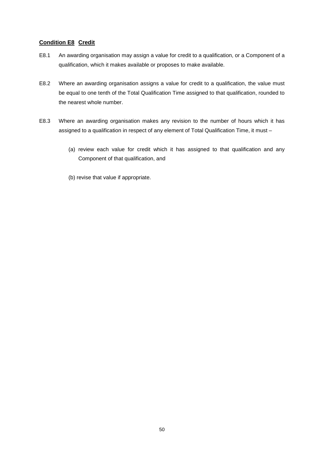# **Condition E8 Credit**

- E8.1 An awarding organisation may assign a value for credit to a qualification, or a Component of a qualification, which it makes available or proposes to make available.
- E8.2 Where an awarding organisation assigns a value for credit to a qualification, the value must be equal to one tenth of the Total Qualification Time assigned to that qualification, rounded to the nearest whole number.
- E8.3 Where an awarding organisation makes any revision to the number of hours which it has assigned to a qualification in respect of any element of Total Qualification Time, it must –
	- (a) review each value for credit which it has assigned to that qualification and any Component of that qualification, and
	- (b) revise that value if appropriate.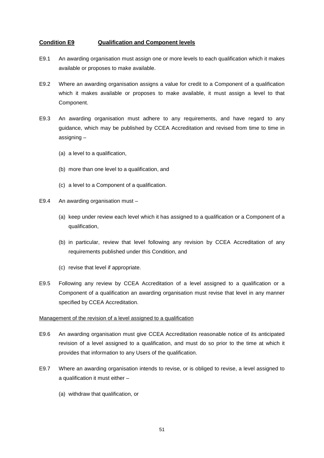## **Condition E9 Qualification and Component levels**

- E9.1 An awarding organisation must assign one or more levels to each qualification which it makes available or proposes to make available.
- E9.2 Where an awarding organisation assigns a value for credit to a Component of a qualification which it makes available or proposes to make available, it must assign a level to that Component.
- E9.3 An awarding organisation must adhere to any requirements, and have regard to any guidance, which may be published by CCEA Accreditation and revised from time to time in assigning –
	- (a) a level to a qualification,
	- (b) more than one level to a qualification, and
	- (c) a level to a Component of a qualification.
- E9.4 An awarding organisation must
	- (a) keep under review each level which it has assigned to a qualification or a Component of a qualification,
	- (b) in particular, review that level following any revision by CCEA Accreditation of any requirements published under this Condition, and
	- (c) revise that level if appropriate.
- E9.5 Following any review by CCEA Accreditation of a level assigned to a qualification or a Component of a qualification an awarding organisation must revise that level in any manner specified by CCEA Accreditation.

#### Management of the revision of a level assigned to a qualification

- E9.6 An awarding organisation must give CCEA Accreditation reasonable notice of its anticipated revision of a level assigned to a qualification, and must do so prior to the time at which it provides that information to any Users of the qualification.
- E9.7 Where an awarding organisation intends to revise, or is obliged to revise, a level assigned to a qualification it must either –
	- (a) withdraw that qualification, or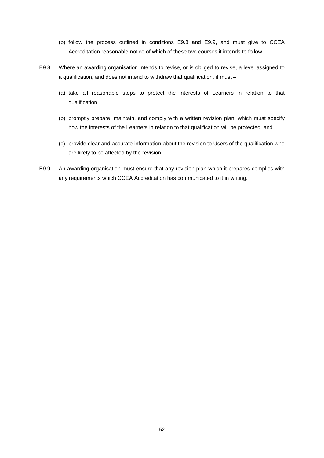- (b) follow the process outlined in conditions E9.8 and E9.9, and must give to CCEA Accreditation reasonable notice of which of these two courses it intends to follow.
- E9.8 Where an awarding organisation intends to revise, or is obliged to revise, a level assigned to a qualification, and does not intend to withdraw that qualification, it must –
	- (a) take all reasonable steps to protect the interests of Learners in relation to that qualification,
	- (b) promptly prepare, maintain, and comply with a written revision plan, which must specify how the interests of the Learners in relation to that qualification will be protected, and
	- (c) provide clear and accurate information about the revision to Users of the qualification who are likely to be affected by the revision.
- E9.9 An awarding organisation must ensure that any revision plan which it prepares complies with any requirements which CCEA Accreditation has communicated to it in writing.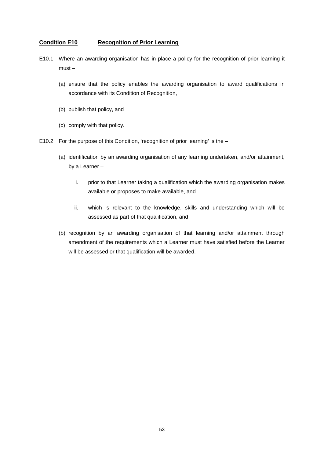#### **Condition E10 Recognition of Prior Learning**

- E10.1 Where an awarding organisation has in place a policy for the recognition of prior learning it must –
	- (a) ensure that the policy enables the awarding organisation to award qualifications in accordance with its Condition of Recognition,
	- (b) publish that policy, and
	- (c) comply with that policy.
- E10.2 For the purpose of this Condition, 'recognition of prior learning' is the
	- (a) identification by an awarding organisation of any learning undertaken, and/or attainment, by a Learner –
		- i. prior to that Learner taking a qualification which the awarding organisation makes available or proposes to make available, and
		- ii. which is relevant to the knowledge, skills and understanding which will be assessed as part of that qualification, and
	- (b) recognition by an awarding organisation of that learning and/or attainment through amendment of the requirements which a Learner must have satisfied before the Learner will be assessed or that qualification will be awarded.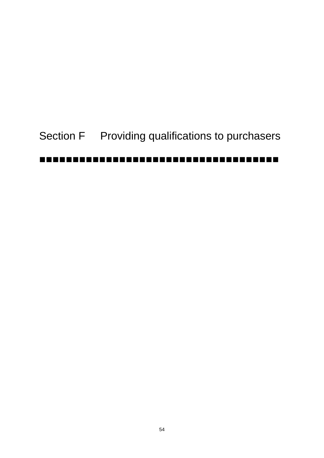# Section F Providing qualifications to purchasers ------------------------------------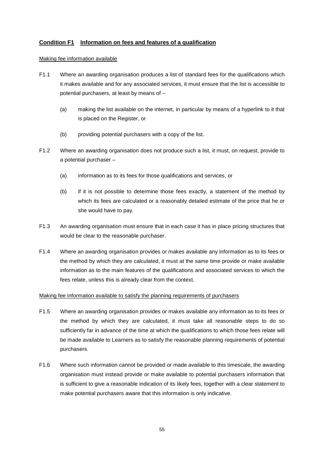# **Condition F1 Information on fees and features of a qualification**

#### Making fee information available

- F1.1 Where an awarding organisation produces a list of standard fees for the qualifications which it makes available and for any associated services, it must ensure that the list is accessible to potential purchasers, at least by means of –
	- (a) making the list available on the internet, in particular by means of a hyperlink to it that is placed on the Register, or
	- (b) providing potential purchasers with a copy of the list.
- F1.2 Where an awarding organisation does not produce such a list, it must, on request, provide to a potential purchaser –
	- (a) information as to its fees for those qualifications and services, or
	- (b) if it is not possible to determine those fees exactly, a statement of the method by which its fees are calculated or a reasonably detailed estimate of the price that he or she would have to pay.
- F1.3 An awarding organisation must ensure that in each case it has in place pricing structures that would be clear to the reasonable purchaser.
- F1.4 Where an awarding organisation provides or makes available any information as to its fees or the method by which they are calculated, it must at the same time provide or make available information as to the main features of the qualifications and associated services to which the fees relate, unless this is already clear from the context.

#### Making fee information available to satisfy the planning requirements of purchasers

- F1.5 Where an awarding organisation provides or makes available any information as to its fees or the method by which they are calculated, it must take all reasonable steps to do so sufficiently far in advance of the time at which the qualifications to which those fees relate will be made available to Learners as to satisfy the reasonable planning requirements of potential purchasers.
- F1.6 Where such information cannot be provided or made available to this timescale, the awarding organisation must instead provide or make available to potential purchasers information that is sufficient to give a reasonable indication of its likely fees, together with a clear statement to make potential purchasers aware that this information is only indicative.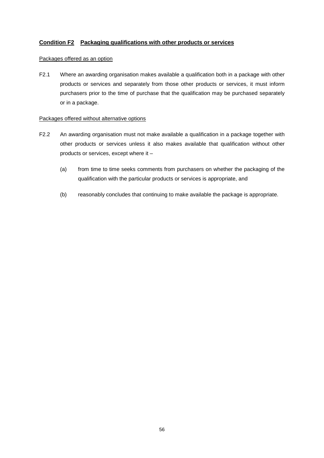# **Condition F2 Packaging qualifications with other products or services**

# Packages offered as an option

F2.1 Where an awarding organisation makes available a qualification both in a package with other products or services and separately from those other products or services, it must inform purchasers prior to the time of purchase that the qualification may be purchased separately or in a package.

#### Packages offered without alternative options

- F2.2 An awarding organisation must not make available a qualification in a package together with other products or services unless it also makes available that qualification without other products or services, except where it –
	- (a) from time to time seeks comments from purchasers on whether the packaging of the qualification with the particular products or services is appropriate, and
	- (b) reasonably concludes that continuing to make available the package is appropriate.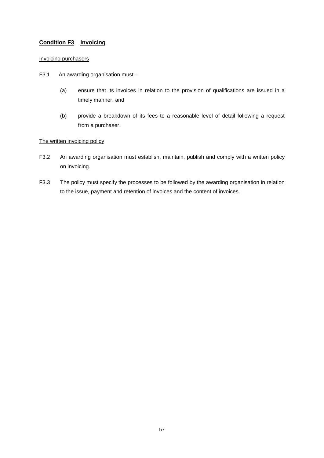# **Condition F3 Invoicing**

# Invoicing purchasers

- F3.1 An awarding organisation must
	- (a) ensure that its invoices in relation to the provision of qualifications are issued in a timely manner, and
	- (b) provide a breakdown of its fees to a reasonable level of detail following a request from a purchaser.

# The written invoicing policy

- F3.2 An awarding organisation must establish, maintain, publish and comply with a written policy on invoicing.
- F3.3 The policy must specify the processes to be followed by the awarding organisation in relation to the issue, payment and retention of invoices and the content of invoices.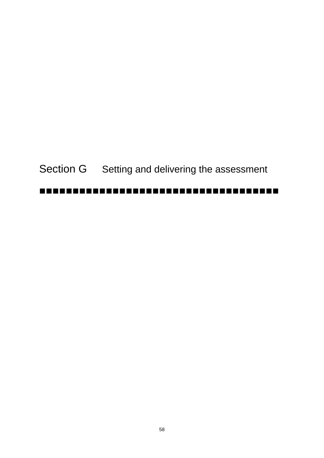Section G Setting and delivering the assessment

#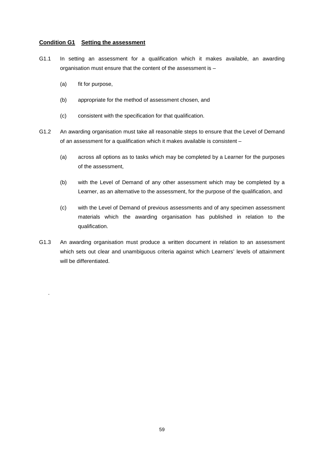#### **Condition G1 Setting the assessment**

- G1.1 In setting an assessment for a qualification which it makes available, an awarding organisation must ensure that the content of the assessment is –
	- (a) fit for purpose,

.

- (b) appropriate for the method of assessment chosen, and
- (c) consistent with the specification for that qualification.
- G1.2 An awarding organisation must take all reasonable steps to ensure that the Level of Demand of an assessment for a qualification which it makes available is consistent –
	- (a) across all options as to tasks which may be completed by a Learner for the purposes of the assessment,
	- (b) with the Level of Demand of any other assessment which may be completed by a Learner, as an alternative to the assessment, for the purpose of the qualification, and
	- (c) with the Level of Demand of previous assessments and of any specimen assessment materials which the awarding organisation has published in relation to the qualification.
- G1.3 An awarding organisation must produce a written document in relation to an assessment which sets out clear and unambiguous criteria against which Learners' levels of attainment will be differentiated.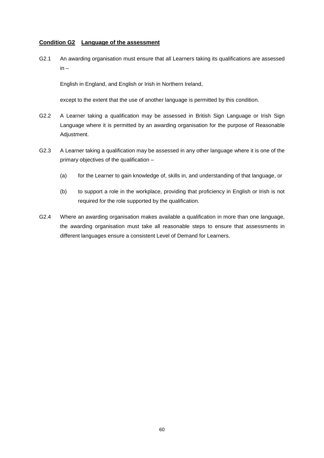# **Condition G2 Language of the assessment**

G2.1 An awarding organisation must ensure that all Learners taking its qualifications are assessed in –

English in England, and English or Irish in Northern Ireland,

except to the extent that the use of another language is permitted by this condition.

- G2.2 A Learner taking a qualification may be assessed in British Sign Language or Irish Sign Language where it is permitted by an awarding organisation for the purpose of Reasonable Adjustment.
- G2.3 A Learner taking a qualification may be assessed in any other language where it is one of the primary objectives of the qualification –
	- (a) for the Learner to gain knowledge of, skills in, and understanding of that language, or
	- (b) to support a role in the workplace, providing that proficiency in English or Irish is not required for the role supported by the qualification.
- G2.4 Where an awarding organisation makes available a qualification in more than one language, the awarding organisation must take all reasonable steps to ensure that assessments in different languages ensure a consistent Level of Demand for Learners.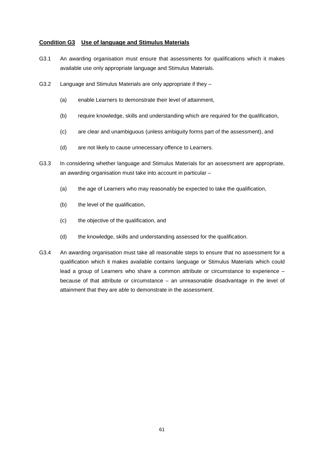# **Condition G3 Use of language and Stimulus Materials**

- G3.1 An awarding organisation must ensure that assessments for qualifications which it makes available use only appropriate language and Stimulus Materials.
- G3.2 Language and Stimulus Materials are only appropriate if they
	- (a) enable Learners to demonstrate their level of attainment,
	- (b) require knowledge, skills and understanding which are required for the qualification,
	- (c) are clear and unambiguous (unless ambiguity forms part of the assessment), and
	- (d) are not likely to cause unnecessary offence to Learners.
- G3.3 In considering whether language and Stimulus Materials for an assessment are appropriate, an awarding organisation must take into account in particular –
	- (a) the age of Learners who may reasonably be expected to take the qualification,
	- (b) the level of the qualification,
	- (c) the objective of the qualification, and
	- (d) the knowledge, skills and understanding assessed for the qualification.
- G3.4 An awarding organisation must take all reasonable steps to ensure that no assessment for a qualification which it makes available contains language or Stimulus Materials which could lead a group of Learners who share a common attribute or circumstance to experience – because of that attribute or circumstance – an unreasonable disadvantage in the level of attainment that they are able to demonstrate in the assessment.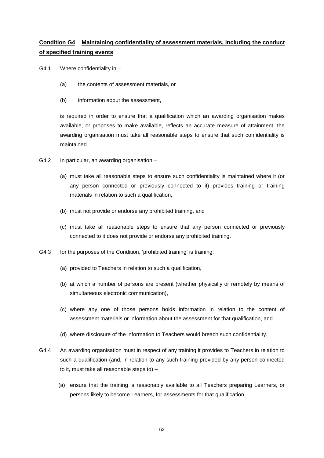# **Condition G4 Maintaining confidentiality of assessment materials, including the conduct of specified training events**

- G4.1 Where confidentiality in
	- (a) the contents of assessment materials, or
	- (b) information about the assessment,

is required in order to ensure that a qualification which an awarding organisation makes available, or proposes to make available, reflects an accurate measure of attainment, the awarding organisation must take all reasonable steps to ensure that such confidentiality is maintained.

- G4.2 In particular, an awarding organisation
	- (a) must take all reasonable steps to ensure such confidentiality is maintained where it (or any person connected or previously connected to it) provides training or training materials in relation to such a qualification,
	- (b) must not provide or endorse any prohibited training, and
	- (c) must take all reasonable steps to ensure that any person connected or previously connected to it does not provide or endorse any prohibited training.
- G4.3 for the purposes of the Condition, 'prohibited training' is training:
	- (a) provided to Teachers in relation to such a qualification,
	- (b) at which a number of persons are present (whether physically or remotely by means of simultaneous electronic communication),
	- (c) where any one of those persons holds information in relation to the content of assessment materials or information about the assessment for that qualification, and
	- (d) where disclosure of the information to Teachers would breach such confidentiality.
- G4.4 An awarding organisation must in respect of any training it provides to Teachers in relation to such a qualification (and, in relation to any such training provided by any person connected to it, must take all reasonable steps to) –
	- (a) ensure that the training is reasonably available to all Teachers preparing Learners, or persons likely to become Learners, for assessments for that qualification,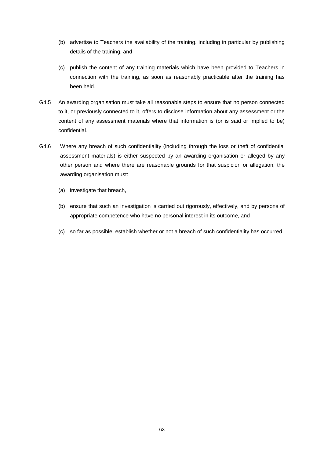- (b) advertise to Teachers the availability of the training, including in particular by publishing details of the training, and
- (c) publish the content of any training materials which have been provided to Teachers in connection with the training, as soon as reasonably practicable after the training has been held.
- G4.5 An awarding organisation must take all reasonable steps to ensure that no person connected to it, or previously connected to it, offers to disclose information about any assessment or the content of any assessment materials where that information is (or is said or implied to be) confidential.
- G4.6 Where any breach of such confidentiality (including through the loss or theft of confidential assessment materials) is either suspected by an awarding organisation or alleged by any other person and where there are reasonable grounds for that suspicion or allegation, the awarding organisation must:
	- (a) investigate that breach,
	- (b) ensure that such an investigation is carried out rigorously, effectively, and by persons of appropriate competence who have no personal interest in its outcome, and
	- (c) so far as possible, establish whether or not a breach of such confidentiality has occurred.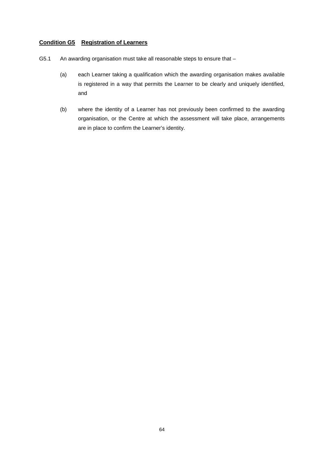# **Condition G5 Registration of Learners**

- G5.1 An awarding organisation must take all reasonable steps to ensure that
	- (a) each Learner taking a qualification which the awarding organisation makes available is registered in a way that permits the Learner to be clearly and uniquely identified, and
	- (b) where the identity of a Learner has not previously been confirmed to the awarding organisation, or the Centre at which the assessment will take place, arrangements are in place to confirm the Learner's identity.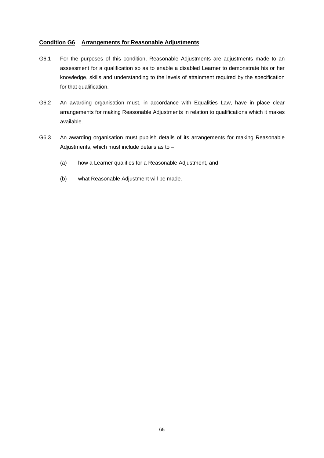# **Condition G6 Arrangements for Reasonable Adjustments**

- G6.1 For the purposes of this condition, Reasonable Adjustments are adjustments made to an assessment for a qualification so as to enable a disabled Learner to demonstrate his or her knowledge, skills and understanding to the levels of attainment required by the specification for that qualification.
- G6.2 An awarding organisation must, in accordance with Equalities Law, have in place clear arrangements for making Reasonable Adjustments in relation to qualifications which it makes available.
- G6.3 An awarding organisation must publish details of its arrangements for making Reasonable Adjustments, which must include details as to –
	- (a) how a Learner qualifies for a Reasonable Adjustment, and
	- (b) what Reasonable Adjustment will be made.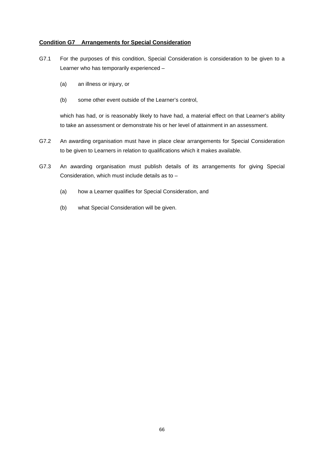# **Condition G7 Arrangements for Special Consideration**

- G7.1 For the purposes of this condition, Special Consideration is consideration to be given to a Learner who has temporarily experienced –
	- (a) an illness or injury, or
	- (b) some other event outside of the Learner's control,

which has had, or is reasonably likely to have had, a material effect on that Learner's ability to take an assessment or demonstrate his or her level of attainment in an assessment.

- G7.2 An awarding organisation must have in place clear arrangements for Special Consideration to be given to Learners in relation to qualifications which it makes available.
- G7.3 An awarding organisation must publish details of its arrangements for giving Special Consideration, which must include details as to –
	- (a) how a Learner qualifies for Special Consideration, and
	- (b) what Special Consideration will be given.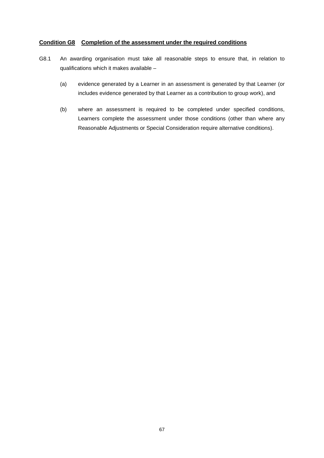## **Condition G8 Completion of the assessment under the required conditions**

- G8.1 An awarding organisation must take all reasonable steps to ensure that, in relation to qualifications which it makes available –
	- (a) evidence generated by a Learner in an assessment is generated by that Learner (or includes evidence generated by that Learner as a contribution to group work), and
	- (b) where an assessment is required to be completed under specified conditions, Learners complete the assessment under those conditions (other than where any Reasonable Adjustments or Special Consideration require alternative conditions).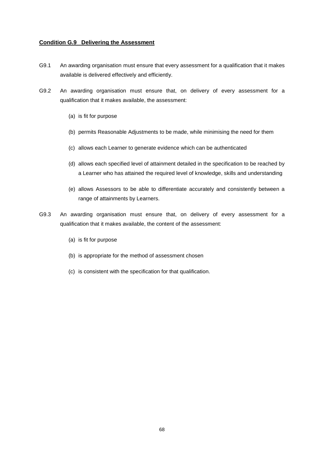# **Condition G.9 Delivering the Assessment**

- G9.1 An awarding organisation must ensure that every assessment for a qualification that it makes available is delivered effectively and efficiently.
- G9.2 An awarding organisation must ensure that, on delivery of every assessment for a qualification that it makes available, the assessment:
	- (a) is fit for purpose
	- (b) permits Reasonable Adjustments to be made, while minimising the need for them
	- (c) allows each Learner to generate evidence which can be authenticated
	- (d) allows each specified level of attainment detailed in the specification to be reached by a Learner who has attained the required level of knowledge, skills and understanding
	- (e) allows Assessors to be able to differentiate accurately and consistently between a range of attainments by Learners.
- G9.3 An awarding organisation must ensure that, on delivery of every assessment for a qualification that it makes available, the content of the assessment:
	- (a) is fit for purpose
	- (b) is appropriate for the method of assessment chosen
	- (c) is consistent with the specification for that qualification.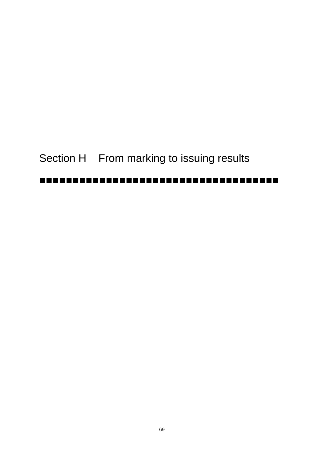# Section H From marking to issuing results

# -------------------------------------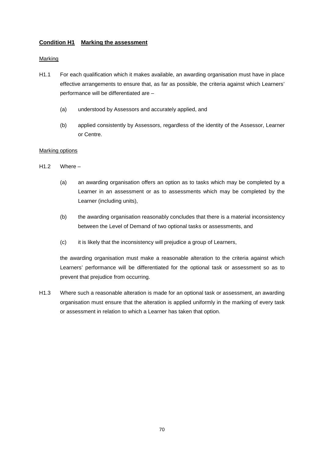#### **Condition H1 Marking the assessment**

#### **Marking**

- H1.1 For each qualification which it makes available, an awarding organisation must have in place effective arrangements to ensure that, as far as possible, the criteria against which Learners' performance will be differentiated are –
	- (a) understood by Assessors and accurately applied, and
	- (b) applied consistently by Assessors, regardless of the identity of the Assessor, Learner or Centre.

#### Marking options

- H1.2 Where
	- (a) an awarding organisation offers an option as to tasks which may be completed by a Learner in an assessment or as to assessments which may be completed by the Learner (including units),
	- (b) the awarding organisation reasonably concludes that there is a material inconsistency between the Level of Demand of two optional tasks or assessments, and
	- (c) it is likely that the inconsistency will prejudice a group of Learners,

the awarding organisation must make a reasonable alteration to the criteria against which Learners' performance will be differentiated for the optional task or assessment so as to prevent that prejudice from occurring.

H1.3 Where such a reasonable alteration is made for an optional task or assessment, an awarding organisation must ensure that the alteration is applied uniformly in the marking of every task or assessment in relation to which a Learner has taken that option.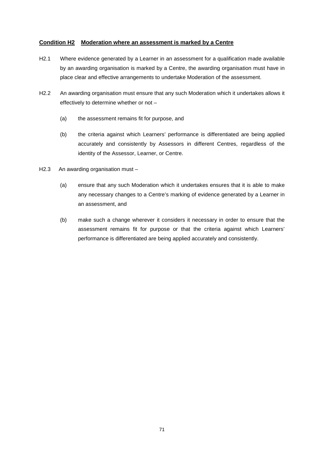#### **Condition H2 Moderation where an assessment is marked by a Centre**

- H2.1 Where evidence generated by a Learner in an assessment for a qualification made available by an awarding organisation is marked by a Centre, the awarding organisation must have in place clear and effective arrangements to undertake Moderation of the assessment.
- H2.2 An awarding organisation must ensure that any such Moderation which it undertakes allows it effectively to determine whether or not –
	- (a) the assessment remains fit for purpose, and
	- (b) the criteria against which Learners' performance is differentiated are being applied accurately and consistently by Assessors in different Centres, regardless of the identity of the Assessor, Learner, or Centre.
- H2.3 An awarding organisation must
	- (a) ensure that any such Moderation which it undertakes ensures that it is able to make any necessary changes to a Centre's marking of evidence generated by a Learner in an assessment, and
	- (b) make such a change wherever it considers it necessary in order to ensure that the assessment remains fit for purpose or that the criteria against which Learners' performance is differentiated are being applied accurately and consistently.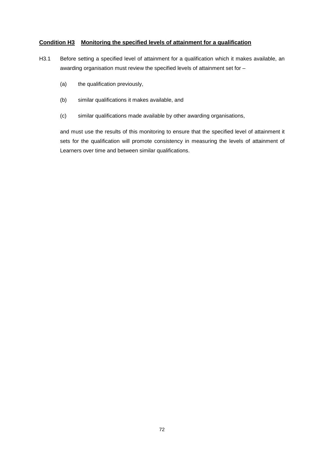#### **Condition H3 Monitoring the specified levels of attainment for a qualification**

- H3.1 Before setting a specified level of attainment for a qualification which it makes available, an awarding organisation must review the specified levels of attainment set for –
	- (a) the qualification previously,
	- (b) similar qualifications it makes available, and
	- (c) similar qualifications made available by other awarding organisations,

and must use the results of this monitoring to ensure that the specified level of attainment it sets for the qualification will promote consistency in measuring the levels of attainment of Learners over time and between similar qualifications.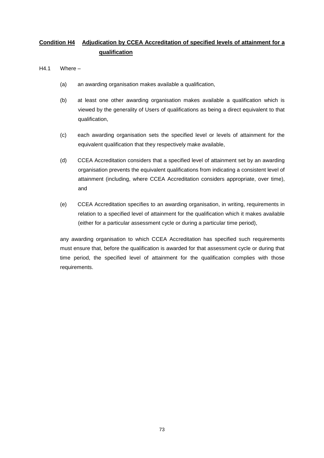### **Condition H4 Adjudication by CCEA Accreditation of specified levels of attainment for a qualification**

- H4.1 Where
	- (a) an awarding organisation makes available a qualification,
	- (b) at least one other awarding organisation makes available a qualification which is viewed by the generality of Users of qualifications as being a direct equivalent to that qualification,
	- (c) each awarding organisation sets the specified level or levels of attainment for the equivalent qualification that they respectively make available,
	- (d) CCEA Accreditation considers that a specified level of attainment set by an awarding organisation prevents the equivalent qualifications from indicating a consistent level of attainment (including, where CCEA Accreditation considers appropriate, over time), and
	- (e) CCEA Accreditation specifies to an awarding organisation, in writing, requirements in relation to a specified level of attainment for the qualification which it makes available (either for a particular assessment cycle or during a particular time period),

any awarding organisation to which CCEA Accreditation has specified such requirements must ensure that, before the qualification is awarded for that assessment cycle or during that time period, the specified level of attainment for the qualification complies with those requirements.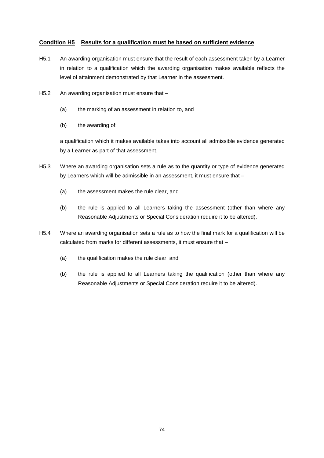#### **Condition H5 Results for a qualification must be based on sufficient evidence**

- H5.1 An awarding organisation must ensure that the result of each assessment taken by a Learner in relation to a qualification which the awarding organisation makes available reflects the level of attainment demonstrated by that Learner in the assessment.
- H5.2 An awarding organisation must ensure that
	- (a) the marking of an assessment in relation to, and
	- (b) the awarding of;

a qualification which it makes available takes into account all admissible evidence generated by a Learner as part of that assessment.

- H5.3 Where an awarding organisation sets a rule as to the quantity or type of evidence generated by Learners which will be admissible in an assessment, it must ensure that –
	- (a) the assessment makes the rule clear, and
	- (b) the rule is applied to all Learners taking the assessment (other than where any Reasonable Adjustments or Special Consideration require it to be altered).
- H5.4 Where an awarding organisation sets a rule as to how the final mark for a qualification will be calculated from marks for different assessments, it must ensure that –
	- (a) the qualification makes the rule clear, and
	- (b) the rule is applied to all Learners taking the qualification (other than where any Reasonable Adjustments or Special Consideration require it to be altered).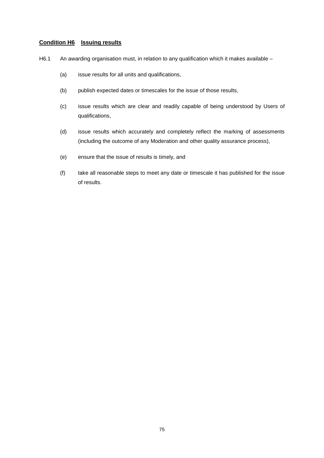#### **Condition H6 Issuing results**

- H6.1 An awarding organisation must, in relation to any qualification which it makes available
	- (a) issue results for all units and qualifications,
	- (b) publish expected dates or timescales for the issue of those results,
	- (c) issue results which are clear and readily capable of being understood by Users of qualifications,
	- (d) issue results which accurately and completely reflect the marking of assessments (including the outcome of any Moderation and other quality assurance process),
	- (e) ensure that the issue of results is timely, and
	- (f) take all reasonable steps to meet any date or timescale it has published for the issue of results.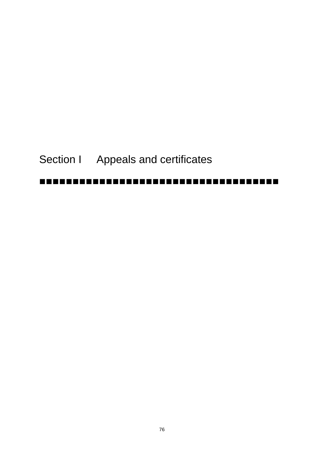# Section I Appeals and certificates

-------------------------------------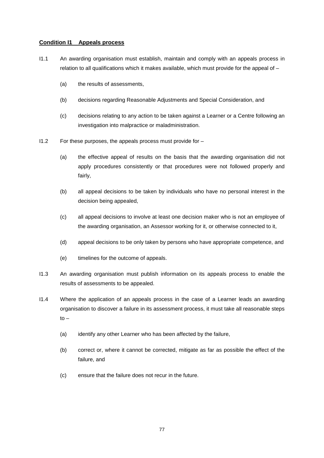#### **Condition I1 Appeals process**

- I1.1 An awarding organisation must establish, maintain and comply with an appeals process in relation to all qualifications which it makes available, which must provide for the appeal of –
	- (a) the results of assessments,
	- (b) decisions regarding Reasonable Adjustments and Special Consideration, and
	- (c) decisions relating to any action to be taken against a Learner or a Centre following an investigation into malpractice or maladministration.
- I1.2 For these purposes, the appeals process must provide for
	- (a) the effective appeal of results on the basis that the awarding organisation did not apply procedures consistently or that procedures were not followed properly and fairly,
	- (b) all appeal decisions to be taken by individuals who have no personal interest in the decision being appealed,
	- (c) all appeal decisions to involve at least one decision maker who is not an employee of the awarding organisation, an Assessor working for it, or otherwise connected to it,
	- (d) appeal decisions to be only taken by persons who have appropriate competence, and
	- (e) timelines for the outcome of appeals.
- I1.3 An awarding organisation must publish information on its appeals process to enable the results of assessments to be appealed.
- I1.4 Where the application of an appeals process in the case of a Learner leads an awarding organisation to discover a failure in its assessment process, it must take all reasonable steps  $to -$ 
	- (a) identify any other Learner who has been affected by the failure,
	- (b) correct or, where it cannot be corrected, mitigate as far as possible the effect of the failure, and
	- (c) ensure that the failure does not recur in the future.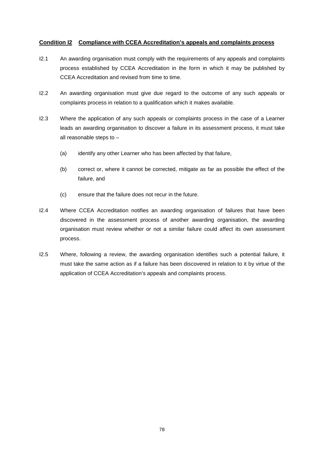#### **Condition I2 Compliance with CCEA Accreditation's appeals and complaints process**

- I2.1 An awarding organisation must comply with the requirements of any appeals and complaints process established by CCEA Accreditation in the form in which it may be published by CCEA Accreditation and revised from time to time.
- I2.2 An awarding organisation must give due regard to the outcome of any such appeals or complaints process in relation to a qualification which it makes available.
- I2.3 Where the application of any such appeals or complaints process in the case of a Learner leads an awarding organisation to discover a failure in its assessment process, it must take all reasonable steps to –
	- (a) identify any other Learner who has been affected by that failure,
	- (b) correct or, where it cannot be corrected, mitigate as far as possible the effect of the failure, and
	- (c) ensure that the failure does not recur in the future.
- I2.4 Where CCEA Accreditation notifies an awarding organisation of failures that have been discovered in the assessment process of another awarding organisation, the awarding organisation must review whether or not a similar failure could affect its own assessment process.
- I2.5 Where, following a review, the awarding organisation identifies such a potential failure, it must take the same action as if a failure has been discovered in relation to it by virtue of the application of CCEA Accreditation's appeals and complaints process.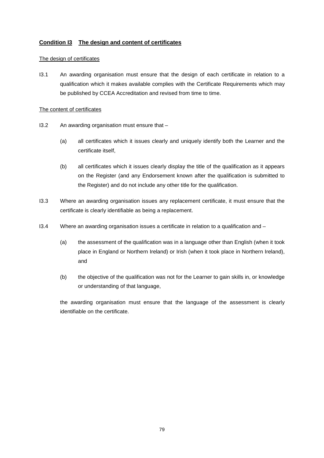#### **Condition I3 The design and content of certificates**

#### The design of certificates

I3.1 An awarding organisation must ensure that the design of each certificate in relation to a qualification which it makes available complies with the Certificate Requirements which may be published by CCEA Accreditation and revised from time to time.

#### The content of certificates

- I3.2 An awarding organisation must ensure that
	- (a) all certificates which it issues clearly and uniquely identify both the Learner and the certificate itself,
	- (b) all certificates which it issues clearly display the title of the qualification as it appears on the Register (and any Endorsement known after the qualification is submitted to the Register) and do not include any other title for the qualification.
- I3.3 Where an awarding organisation issues any replacement certificate, it must ensure that the certificate is clearly identifiable as being a replacement.
- I3.4 Where an awarding organisation issues a certificate in relation to a qualification and
	- (a) the assessment of the qualification was in a language other than English (when it took place in England or Northern Ireland) or Irish (when it took place in Northern Ireland), and
	- (b) the objective of the qualification was not for the Learner to gain skills in, or knowledge or understanding of that language,

the awarding organisation must ensure that the language of the assessment is clearly identifiable on the certificate.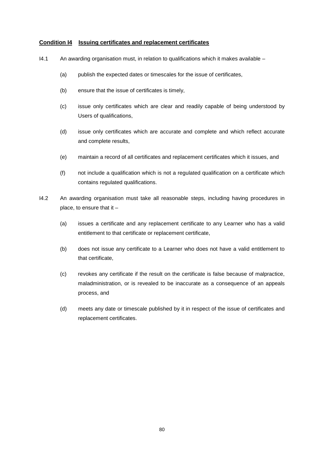#### **Condition I4 Issuing certificates and replacement certificates**

- I4.1 An awarding organisation must, in relation to qualifications which it makes available
	- (a) publish the expected dates or timescales for the issue of certificates,
	- (b) ensure that the issue of certificates is timely,
	- (c) issue only certificates which are clear and readily capable of being understood by Users of qualifications,
	- (d) issue only certificates which are accurate and complete and which reflect accurate and complete results,
	- (e) maintain a record of all certificates and replacement certificates which it issues, and
	- (f) not include a qualification which is not a regulated qualification on a certificate which contains regulated qualifications.
- I4.2 An awarding organisation must take all reasonable steps, including having procedures in place, to ensure that it –
	- (a) issues a certificate and any replacement certificate to any Learner who has a valid entitlement to that certificate or replacement certificate,
	- (b) does not issue any certificate to a Learner who does not have a valid entitlement to that certificate,
	- (c) revokes any certificate if the result on the certificate is false because of malpractice, maladministration, or is revealed to be inaccurate as a consequence of an appeals process, and
	- (d) meets any date or timescale published by it in respect of the issue of certificates and replacement certificates.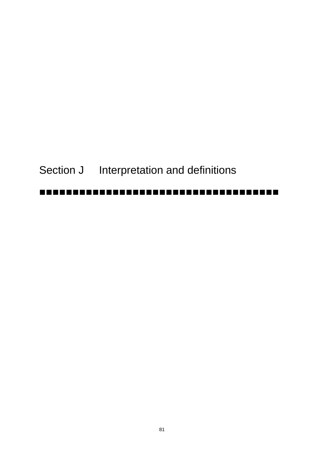Section J Interpretation and definitions

## -------------------------------------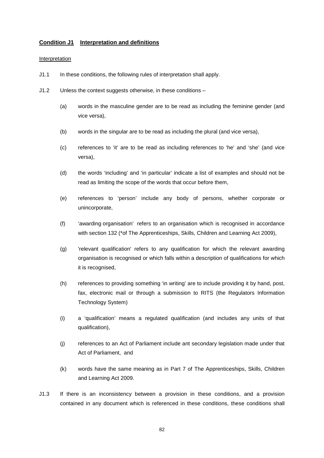#### **Condition J1 Interpretation and definitions**

#### Interpretation

- J1.1 In these conditions, the following rules of interpretation shall apply.
- J1.2 Unless the context suggests otherwise, in these conditions
	- (a) words in the masculine gender are to be read as including the feminine gender (and vice versa),
	- (b) words in the singular are to be read as including the plural (and vice versa),
	- (c) references to 'it' are to be read as including references to 'he' and 'she' (and vice versa),
	- (d) the words 'including' and 'in particular' indicate a list of examples and should not be read as limiting the scope of the words that occur before them,
	- (e) references to 'person' include any body of persons, whether corporate or unincorporate,
	- (f) 'awarding organisation' refers to an organisation which is recognised in accordance with section 132 (\*of The Apprenticeships, Skills, Children and Learning Act 2009),
	- (g) 'relevant qualification' refers to any qualification for which the relevant awarding organisation is recognised or which falls within a description of qualifications for which it is recognised,
	- (h) references to providing something 'in writing' are to include providing it by hand, post, fax, electronic mail or through a submission to RITS (the Regulators Information Technology System)
	- (i) a 'qualification' means a regulated qualification (and includes any units of that qualification),
	- (j) references to an Act of Parliament include ant secondary legislation made under that Act of Parliament, and
	- (k) words have the same meaning as in Part 7 of The Apprenticeships, Skills, Children and Learning Act 2009.
- J1.3 If there is an inconsistency between a provision in these conditions, and a provision contained in any document which is referenced in these conditions, these conditions shall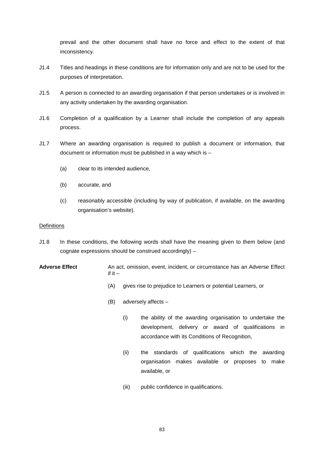prevail and the other document shall have no force and effect to the extent of that inconsistency.

- J1.4 Titles and headings in these conditions are for information only and are not to be used for the purposes of interpretation.
- J1.5 A person is connected to an awarding organisation if that person undertakes or is involved in any activity undertaken by the awarding organisation.
- J1.6 Completion of a qualification by a Learner shall include the completion of any appeals process.
- J1.7 Where an awarding organisation is required to publish a document or information, that document or information must be published in a way which is –
	- (a) clear to its intended audience,
	- (b) accurate, and
	- (c) reasonably accessible (including by way of publication, if available, on the awarding organisation's website).

#### **Definitions**

- J1.8 In these conditions, the following words shall have the meaning given to them below (and cognate expressions should be construed accordingly) –
- **Adverse Effect** An act, omission, event, incident, or circumstance has an Adverse Effect if it  $-$ 
	- (A) gives rise to prejudice to Learners or potential Learners, or
	- (B) adversely affects
		- (i) the ability of the awarding organisation to undertake the development, delivery or award of qualifications in accordance with its Conditions of Recognition,
		- (ii) the standards of qualifications which the awarding organisation makes available or proposes to make available, or
		- (iii) public confidence in qualifications.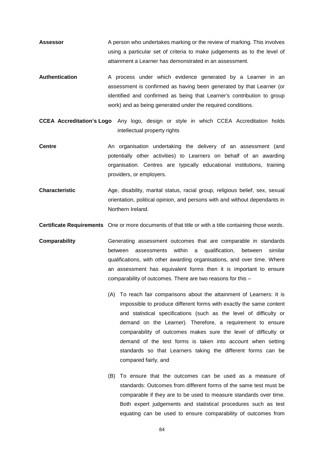- Assessor **A person who undertakes marking or the review of marking. This involves** using a particular set of criteria to make judgements as to the level of attainment a Learner has demonstrated in an assessment.
- Authentication **A** process under which evidence generated by a Learner in an assessment is confirmed as having been generated by that Learner (or identified and confirmed as being that Learner's contribution to group work) and as being generated under the required conditions.
- **CCEA Accreditation's Logo** Any logo, design or style in which CCEA Accreditation holds intellectual property rights
- **Centre An organisation undertaking the delivery of an assessment (and** potentially other activities) to Learners on behalf of an awarding organisation. Centres are typically educational institutions, training providers, or employers.
- **Characteristic** Age, disability, marital status, racial group, religious belief, sex, sexual orientation, political opinion, and persons with and without dependants in Northern Ireland.
- **Certificate Requirements** One or more documents of that title or with a title containing those words.
- **Comparability** Generating assessment outcomes that are comparable in standards between assessments within a qualification, between similar qualifications, with other awarding organisations, and over time. Where an assessment has equivalent forms then it is important to ensure comparability of outcomes. There are two reasons for this –
	- (A) To reach fair comparisons about the attainment of Learners: It is impossible to produce different forms with exactly the same content and statistical specifications (such as the level of difficulty or demand on the Learner). Therefore, a requirement to ensure comparability of outcomes makes sure the level of difficulty or demand of the test forms is taken into account when setting standards so that Learners taking the different forms can be compared fairly, and
	- (B) To ensure that the outcomes can be used as a measure of standards: Outcomes from different forms of the same test must be comparable if they are to be used to measure standards over time. Both expert judgements and statistical procedures such as test equating can be used to ensure comparability of outcomes from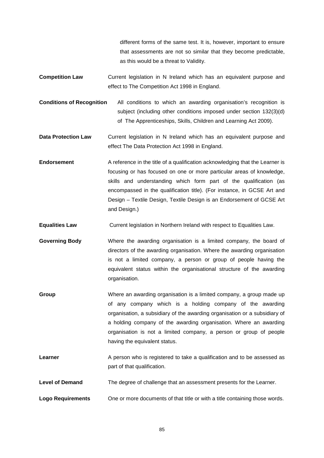different forms of the same test. It is, however, important to ensure that assessments are not so similar that they become predictable, as this would be a threat to Validity.

- **Competition Law** Current legislation in N Ireland which has an equivalent purpose and effect to The Competition Act 1998 in England.
- **Conditions of Recognition** All conditions to which an awarding organisation's recognition is subject (including other conditions imposed under section 132(3)(d) of The Apprenticeships, Skills, Children and Learning Act 2009).
- **Data Protection Law** Current legislation in N Ireland which has an equivalent purpose and effect The Data Protection Act 1998 in England.
- **Endorsement** A reference in the title of a qualification acknowledging that the Learner is focusing or has focused on one or more particular areas of knowledge, skills and understanding which form part of the qualification (as encompassed in the qualification title). (For instance, in GCSE Art and Design – Textile Design, Textile Design is an Endorsement of GCSE Art and Design.)
- **Equalities Law** Current legislation in Northern Ireland with respect to Equalities Law.

**Governing Body** Where the awarding organisation is a limited company, the board of directors of the awarding organisation. Where the awarding organisation is not a limited company, a person or group of people having the equivalent status within the organisational structure of the awarding organisation.

- **Group** Where an awarding organisation is a limited company, a group made up of any company which is a holding company of the awarding organisation, a subsidiary of the awarding organisation or a subsidiary of a holding company of the awarding organisation. Where an awarding organisation is not a limited company, a person or group of people having the equivalent status.
- **Learner** A person who is registered to take a qualification and to be assessed as part of that qualification.
- **Level of Demand** The degree of challenge that an assessment presents for the Learner.
- **Logo Requirements** One or more documents of that title or with a title containing those words.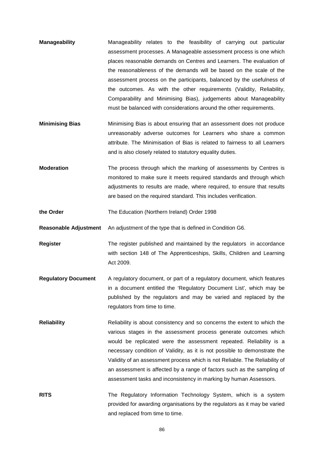- **Manageability** Manageability relates to the feasibility of carrying out particular assessment processes. A Manageable assessment process is one which places reasonable demands on Centres and Learners. The evaluation of the reasonableness of the demands will be based on the scale of the assessment process on the participants, balanced by the usefulness of the outcomes. As with the other requirements (Validity, Reliability, Comparability and Minimising Bias), judgements about Manageability must be balanced with considerations around the other requirements.
- **Minimising Bias** Minimising Bias is about ensuring that an assessment does not produce unreasonably adverse outcomes for Learners who share a common attribute. The Minimisation of Bias is related to fairness to all Learners and is also closely related to statutory equality duties.
- **Moderation** The process through which the marking of assessments by Centres is monitored to make sure it meets required standards and through which adjustments to results are made, where required, to ensure that results are based on the required standard. This includes verification.

**the Order** The Education (Northern Ireland) Order 1998

**Reasonable Adjustment** An adjustment of the type that is defined in Condition G6.

- **Register** The register published and maintained by the regulators in accordance with section 148 of The Apprenticeships, Skills, Children and Learning Act 2009.
- **Regulatory Document** A regulatory document, or part of a regulatory document, which features in a document entitled the 'Regulatory Document List', which may be published by the regulators and may be varied and replaced by the regulators from time to time.
- **Reliability** Reliability is about consistency and so concerns the extent to which the various stages in the assessment process generate outcomes which would be replicated were the assessment repeated. Reliability is a necessary condition of Validity, as it is not possible to demonstrate the Validity of an assessment process which is not Reliable. The Reliability of an assessment is affected by a range of factors such as the sampling of assessment tasks and inconsistency in marking by human Assessors.
- **RITS** The Regulatory Information Technology System, which is a system provided for awarding organisations by the regulators as it may be varied and replaced from time to time.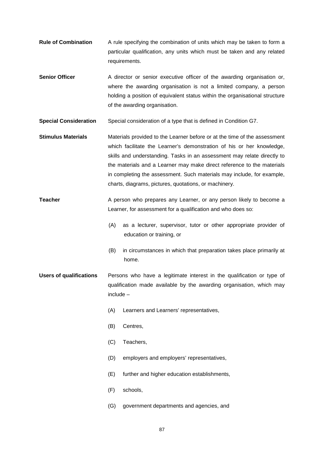- **Rule of Combination** A rule specifying the combination of units which may be taken to form a particular qualification, any units which must be taken and any related requirements.
- **Senior Officer** A director or senior executive officer of the awarding organisation or, where the awarding organisation is not a limited company, a person holding a position of equivalent status within the organisational structure of the awarding organisation.
- **Special Consideration** Special consideration of a type that is defined in Condition G7.
- **Stimulus Materials** Materials provided to the Learner before or at the time of the assessment which facilitate the Learner's demonstration of his or her knowledge, skills and understanding. Tasks in an assessment may relate directly to the materials and a Learner may make direct reference to the materials in completing the assessment. Such materials may include, for example, charts, diagrams, pictures, quotations, or machinery.
- **Teacher** A person who prepares any Learner, or any person likely to become a Learner, for assessment for a qualification and who does so:
	- (A) as a lecturer, supervisor, tutor or other appropriate provider of education or training, or
	- (B) in circumstances in which that preparation takes place primarily at home.
- **Users of qualifications** Persons who have a legitimate interest in the qualification or type of qualification made available by the awarding organisation, which may include –
	- (A) Learners and Learners' representatives,
	- (B) Centres,
	- (C) Teachers,
	- (D) employers and employers' representatives,
	- (E) further and higher education establishments,
	- (F) schools,
	- (G) government departments and agencies, and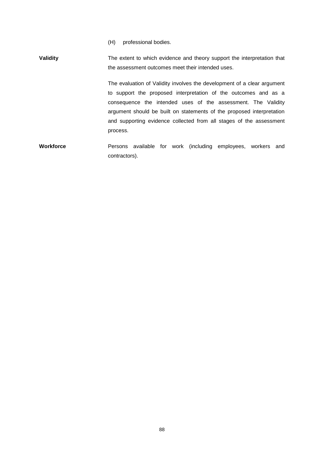(H) professional bodies.

**Validity** The extent to which evidence and theory support the interpretation that the assessment outcomes meet their intended uses.

> The evaluation of Validity involves the development of a clear argument to support the proposed interpretation of the outcomes and as a consequence the intended uses of the assessment. The Validity argument should be built on statements of the proposed interpretation and supporting evidence collected from all stages of the assessment process.

**Workforce** Persons available for work (including employees, workers and contractors).